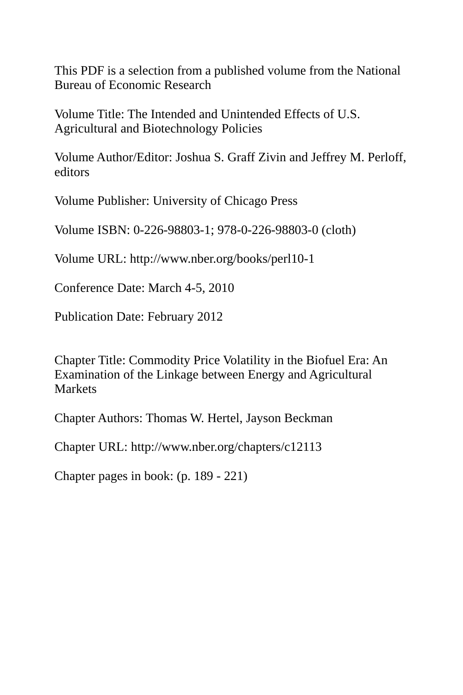This PDF is a selection from a published volume from the National Bureau of Economic Research

Volume Title: The Intended and Unintended Effects of U.S. Agricultural and Biotechnology Policies

Volume Author/Editor: Joshua S. Graff Zivin and Jeffrey M. Perloff, editors

Volume Publisher: University of Chicago Press

Volume ISBN: 0-226-98803-1; 978-0-226-98803-0 (cloth)

Volume URL: http://www.nber.org/books/perl10-1

Conference Date: March 4-5, 2010

Publication Date: February 2012

Chapter Title: Commodity Price Volatility in the Biofuel Era: An Examination of the Linkage between Energy and Agricultural **Markets** 

Chapter Authors: Thomas W. Hertel, Jayson Beckman

Chapter URL: http://www.nber.org/chapters/c12113

Chapter pages in book: (p. 189 - 221)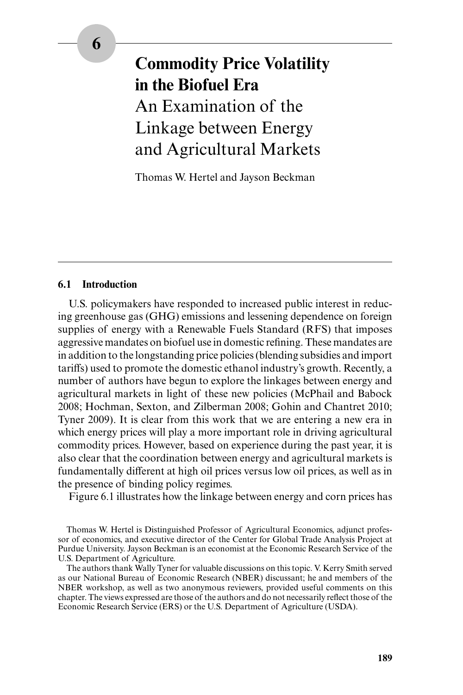# **Commodity Price Volatility in the Biofuel Era** An Examination of the Linkage between Energy and Agricultural Markets

Thomas W. Hertel and Jayson Beckman

#### **6.1 Introduction**

U.S. policymakers have responded to increased public interest in reducing greenhouse gas (GHG) emissions and lessening dependence on foreign supplies of energy with a Renewable Fuels Standard (RFS) that imposes aggressive mandates on biofuel use in domestic refining. These mandates are in addition to the longstanding price policies (blending subsidies and import tariffs) used to promote the domestic ethanol industry's growth. Recently, a number of authors have begun to explore the linkages between energy and agricultural markets in light of these new policies (McPhail and Babock 2008; Hochman, Sexton, and Zilberman 2008; Gohin and Chantret 2010; Tyner 2009). It is clear from this work that we are entering a new era in which energy prices will play a more important role in driving agricultural commodity prices. However, based on experience during the past year, it is also clear that the coordination between energy and agricultural markets is fundamentally different at high oil prices versus low oil prices, as well as in the presence of binding policy regimes.

Figure 6.1 illustrates how the linkage between energy and corn prices has

Thomas W. Hertel is Distinguished Professor of Agricultural Economics, adjunct professor of economics, and executive director of the Center for Global Trade Analysis Project at Purdue University. Jayson Beckman is an economist at the Economic Research Service of the U.S. Department of Agriculture.

The authors thank Wally Tyner for valuable discussions on this topic. V. Kerry Smith served as our National Bureau of Economic Research (NBER) discussant; he and members of the NBER workshop, as well as two anonymous reviewers, provided useful comments on this chapter. The views expressed are those of the authors and do not necessarily reflect those of the Economic Research Service (ERS) or the U.S. Department of Agriculture (USDA).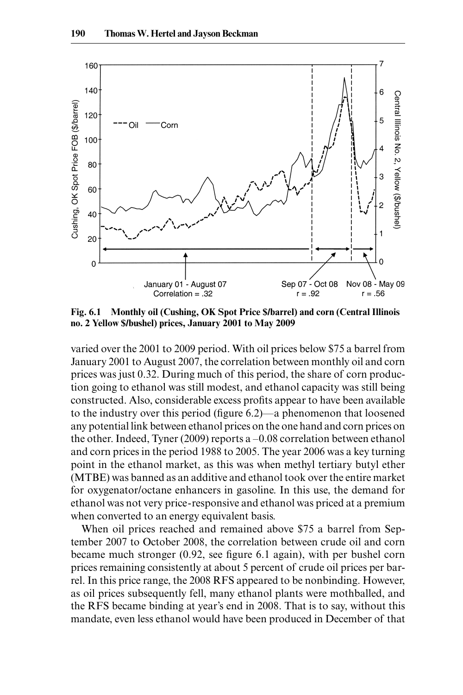

Fig. 6.1 Monthly oil (Cushing, OK Spot Price \$/barrel) and corn (Central Illinois no. 2 Yellow \$/bushel) prices, January 2001 to May 2009

varied over the 2001 to 2009 period. With oil prices below \$75 a barrel from January 2001 to August 2007, the correlation between monthly oil and corn prices was just 0.32. During much of this period, the share of corn production going to ethanol was still modest, and ethanol capacity was still being constructed. Also, considerable excess profits appear to have been available to the industry over this period (figure  $6.2$ )—a phenomenon that loosened any potential link between ethanol prices on the one hand and corn prices on the other. Indeed, Tyner (2009) reports a  $-0.08$  correlation between ethanol and corn prices in the period 1988 to 2005. The year 2006 was a key turning point in the ethanol market, as this was when methyl tertiary butyl ether (MTBE) was banned as an additive and ethanol took over the entire market for oxygenator/ octane enhancers in gasoline. In this use, the demand for ethanol was not very price- responsive and ethanol was priced at a premium when converted to an energy equivalent basis.

When oil prices reached and remained above \$75 a barrel from September 2007 to October 2008, the correlation between crude oil and corn became much stronger  $(0.92, \text{ see figure 6.1 again})$ , with per bushel corn prices remaining consistently at about 5 percent of crude oil prices per barrel. In this price range, the 2008 RFS appeared to be nonbinding. However, as oil prices subsequently fell, many ethanol plants were mothballed, and the RFS became binding at year's end in 2008. That is to say, without this mandate, even less ethanol would have been produced in December of that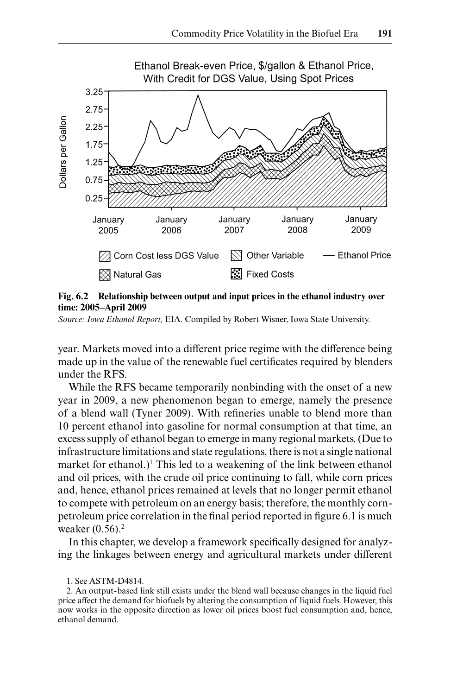![](_page_3_Figure_1.jpeg)

**Fig. 6.2 Relationship between output and input prices in the ethanol industry over time: 2005– April 2009**

*Source: Iowa Ethanol Report,* EIA. Compiled by Robert Wisner, Iowa State University.

year. Markets moved into a different price regime with the difference being made up in the value of the renewable fuel certificates required by blenders under the RFS.

While the RFS became temporarily nonbinding with the onset of a new year in 2009, a new phenomenon began to emerge, namely the presence of a blend wall (Tyner 2009). With refineries unable to blend more than 10 percent ethanol into gasoline for normal consumption at that time, an excess supply of ethanol began to emerge in many regional markets. (Due to infrastructure limitations and state regulations, there is not a single national market for ethanol.)<sup>1</sup> This led to a weakening of the link between ethanol and oil prices, with the crude oil price continuing to fall, while corn prices and, hence, ethanol prices remained at levels that no longer permit ethanol to compete with petroleum on an energy basis; therefore, the monthly corn petroleum price correlation in the final period reported in figure 6.1 is much weaker  $(0.56)$ .<sup>2</sup>

In this chapter, we develop a framework specifically designed for analyzing the linkages between energy and agricultural markets under different

1. See ASTM- D4814.

2. An output- based link still exists under the blend wall because changes in the liquid fuel price affect the demand for biofuels by altering the consumption of liquid fuels. However, this now works in the opposite direction as lower oil prices boost fuel consumption and, hence, ethanol demand.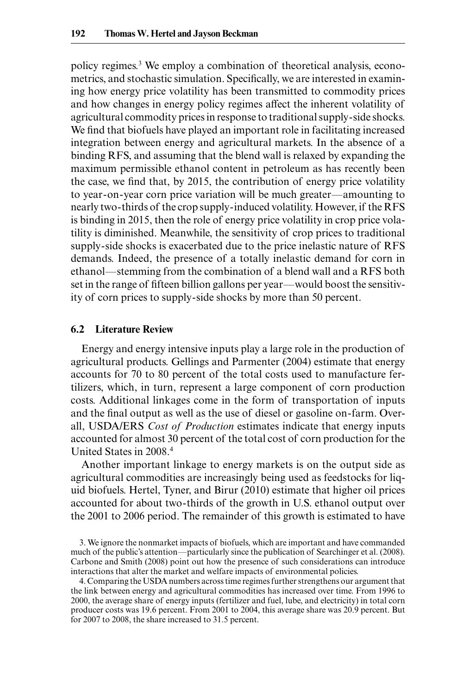policy regimes.3 We employ a combination of theoretical analysis, econometrics, and stochastic simulation. Specifically, we are interested in examining how energy price volatility has been transmitted to commodity prices and how changes in energy policy regimes affect the inherent volatility of agricultural commodity prices in response to traditional supply- side shocks. We find that biofuels have played an important role in facilitating increased integration between energy and agricultural markets. In the absence of a binding RFS, and assuming that the blend wall is relaxed by expanding the maximum permissible ethanol content in petroleum as has recently been the case, we find that, by 2015, the contribution of energy price volatility to year- on- year corn price variation will be much greater—amounting to nearly two- thirds of the crop supply- induced volatility. However, if the RFS is binding in 2015, then the role of energy price volatility in crop price volatility is diminished. Meanwhile, the sensitivity of crop prices to traditional supply- side shocks is exacerbated due to the price inelastic nature of RFS demands. Indeed, the presence of a totally inelastic demand for corn in ethanol—stemming from the combination of a blend wall and a RFS both set in the range of fifteen billion gallons per year—would boost the sensitivity of corn prices to supply- side shocks by more than 50 percent.

#### **6.2 Literature Review**

Energy and energy intensive inputs play a large role in the production of agricultural products. Gellings and Parmenter (2004) estimate that energy accounts for 70 to 80 percent of the total costs used to manufacture fertilizers, which, in turn, represent a large component of corn production costs. Additional linkages come in the form of transportation of inputs and the final output as well as the use of diesel or gasoline on-farm. Overall, USDA/ERS *Cost of Production* estimates indicate that energy inputs accounted for almost 30 percent of the total cost of corn production for the United States in 2008.4

Another important linkage to energy markets is on the output side as agricultural commodities are increasingly being used as feedstocks for liquid biofuels. Hertel, Tyner, and Birur (2010) estimate that higher oil prices accounted for about two- thirds of the growth in U.S. ethanol output over the 2001 to 2006 period. The remainder of this growth is estimated to have

3. We ignore the nonmarket impacts of biofuels, which are important and have commanded much of the public's attention—particularly since the publication of Searchinger et al. (2008). Carbone and Smith (2008) point out how the presence of such considerations can introduce interactions that alter the market and welfare impacts of environmental policies.

4. Comparing the USDA numbers across time regimes further strengthens our argument that the link between energy and agricultural commodities has increased over time. From 1996 to 2000, the average share of energy inputs (fertilizer and fuel, lube, and electricity) in total corn producer costs was 19.6 percent. From 2001 to 2004, this average share was 20.9 percent. But for 2007 to 2008, the share increased to 31.5 percent.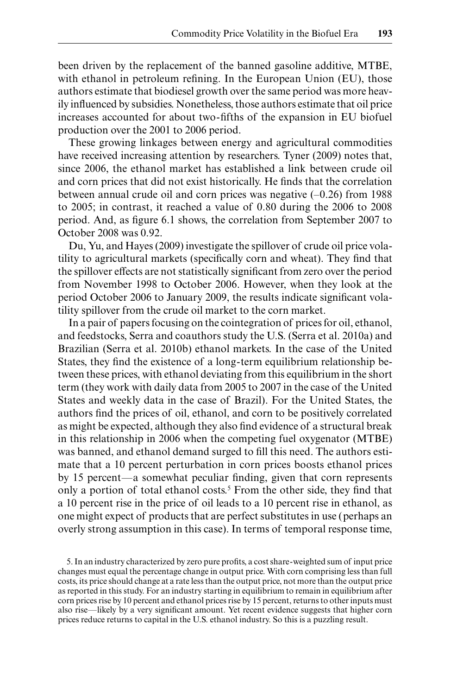been driven by the replacement of the banned gasoline additive, MTBE, with ethanol in petroleum refining. In the European Union (EU), those authors estimate that biodiesel growth over the same period was more heavily influenced by subsidies. Nonetheless, those authors estimate that oil price increases accounted for about two-fifths of the expansion in EU biofuel production over the 2001 to 2006 period.

These growing linkages between energy and agricultural commodities have received increasing attention by researchers. Tyner (2009) notes that, since 2006, the ethanol market has established a link between crude oil and corn prices that did not exist historically. He finds that the correlation between annual crude oil and corn prices was negative  $(-0.26)$  from 1988 to 2005; in contrast, it reached a value of 0.80 during the 2006 to 2008 period. And, as figure 6.1 shows, the correlation from September 2007 to October 2008 was 0.92.

Du, Yu, and Hayes (2009) investigate the spillover of crude oil price volatility to agricultural markets (specifically corn and wheat). They find that the spillover effects are not statistically significant from zero over the period from November 1998 to October 2006. However, when they look at the period October 2006 to January 2009, the results indicate significant volatility spillover from the crude oil market to the corn market.

In a pair of papers focusing on the cointegration of prices for oil, ethanol, and feedstocks, Serra and coauthors study the U.S. (Serra et al. 2010a) and Brazilian (Serra et al. 2010b) ethanol markets. In the case of the United States, they find the existence of a long-term equilibrium relationship between these prices, with ethanol deviating from this equilibrium in the short term (they work with daily data from 2005 to 2007 in the case of the United States and weekly data in the case of Brazil). For the United States, the authors find the prices of oil, ethanol, and corn to be positively correlated as might be expected, although they also find evidence of a structural break in this relationship in 2006 when the competing fuel oxygenator (MTBE) was banned, and ethanol demand surged to fill this need. The authors estimate that a 10 percent perturbation in corn prices boosts ethanol prices by 15 percent—a somewhat peculiar finding, given that corn represents only a portion of total ethanol costs.<sup>5</sup> From the other side, they find that a 10 percent rise in the price of oil leads to a 10 percent rise in ethanol, as one might expect of products that are perfect substitutes in use (perhaps an overly strong assumption in this case). In terms of temporal response time,

<sup>5.</sup> In an industry characterized by zero pure profits, a cost share-weighted sum of input price changes must equal the percentage change in output price. With corn comprising less than full costs, its price should change at a rate less than the output price, not more than the output price as reported in this study. For an industry starting in equilibrium to remain in equilibrium after corn prices rise by 10 percent and ethanol prices rise by 15 percent, returns to other inputs must also rise—likely by a very significant amount. Yet recent evidence suggests that higher corn prices reduce returns to capital in the U.S. ethanol industry. So this is a puzzling result.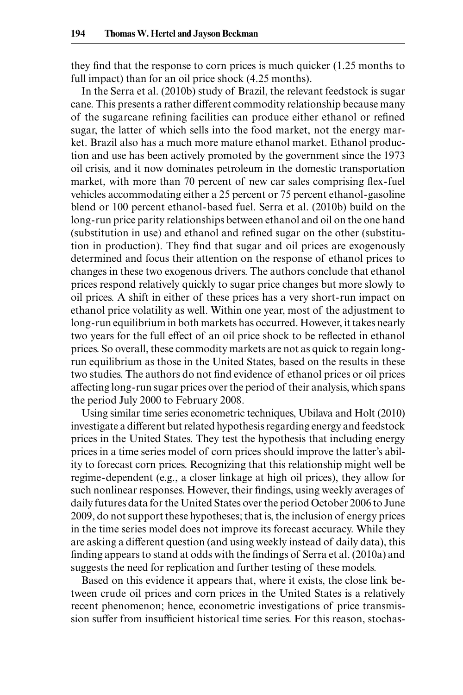they find that the response to corn prices is much quicker  $(1.25 \text{ months to}$ full impact) than for an oil price shock  $(4.25 \text{ months})$ .

In the Serra et al. (2010b) study of Brazil, the relevant feedstock is sugar cane. This presents a rather different commodity relationship because many of the sugarcane refining facilities can produce either ethanol or refined sugar, the latter of which sells into the food market, not the energy market. Brazil also has a much more mature ethanol market. Ethanol production and use has been actively promoted by the government since the 1973 oil crisis, and it now dominates petroleum in the domestic transportation market, with more than 70 percent of new car sales comprising flex-fuel vehicles accommodating either a 25 percent or 75 percent ethanol- gasoline blend or 100 percent ethanol- based fuel. Serra et al. (2010b) build on the long- run price parity relationships between ethanol and oil on the one hand (substitution in use) and ethanol and refined sugar on the other (substitution in production). They find that sugar and oil prices are exogenously determined and focus their attention on the response of ethanol prices to changes in these two exogenous drivers. The authors conclude that ethanol prices respond relatively quickly to sugar price changes but more slowly to oil prices. A shift in either of these prices has a very short- run impact on ethanol price volatility as well. Within one year, most of the adjustment to long- run equilibrium in both markets has occurred. However, it takes nearly two years for the full effect of an oil price shock to be reflected in ethanol prices. So overall, these commodity markets are not as quick to regain long run equilibrium as those in the United States, based on the results in these two studies. The authors do not find evidence of ethanol prices or oil prices affecting long- run sugar prices over the period of their analysis, which spans the period July 2000 to February 2008.

Using similar time series econometric techniques, Ubilava and Holt (2010) investigate a different but related hypothesis regarding energy and feedstock prices in the United States. They test the hypothesis that including energy prices in a time series model of corn prices should improve the latter's ability to forecast corn prices. Recognizing that this relationship might well be regime- dependent (e.g., a closer linkage at high oil prices), they allow for such nonlinear responses. However, their findings, using weekly averages of daily futures data for the United States over the period October 2006 to June 2009, do not support these hypotheses; that is, the inclusion of energy prices in the time series model does not improve its forecast accuracy. While they are asking a different question (and using weekly instead of daily data), this finding appears to stand at odds with the findings of Serra et al. (2010a) and suggests the need for replication and further testing of these models.

Based on this evidence it appears that, where it exists, the close link between crude oil prices and corn prices in the United States is a relatively recent phenomenon; hence, econometric investigations of price transmission suffer from insufficient historical time series. For this reason, stochas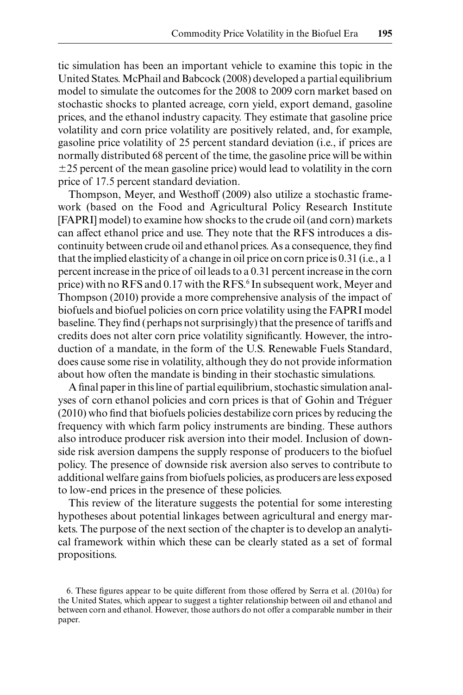tic simulation has been an important vehicle to examine this topic in the United States. McPhail and Babcock (2008) developed a partial equilibrium model to simulate the outcomes for the 2008 to 2009 corn market based on stochastic shocks to planted acreage, corn yield, export demand, gasoline prices, and the ethanol industry capacity. They estimate that gasoline price volatility and corn price volatility are positively related, and, for example, gasoline price volatility of 25 percent standard deviation (i.e., if prices are normally distributed 68 percent of the time, the gasoline price will be within  $\pm$ 25 percent of the mean gasoline price) would lead to volatility in the corn price of 17.5 percent standard deviation.

Thompson, Meyer, and Westhoff (2009) also utilize a stochastic framework (based on the Food and Agricultural Policy Research Institute [FAPRI] model) to examine how shocks to the crude oil (and corn) markets can affect ethanol price and use. They note that the RFS introduces a discontinuity between crude oil and ethanol prices. As a consequence, they find that the implied elasticity of a change in oil price on corn price is 0.31 (i.e., a 1 percent increase in the price of oil leads to a 0.31 percent increase in the corn price) with no RFS and 0.17 with the RFS.<sup>6</sup> In subsequent work, Meyer and Thompson (2010) provide a more comprehensive analysis of the impact of biofuels and biofuel policies on corn price volatility using the FAPRI model baseline. They find (perhaps not surprisingly) that the presence of tariffs and credits does not alter corn price volatility significantly. However, the introduction of a mandate, in the form of the U.S. Renewable Fuels Standard, does cause some rise in volatility, although they do not provide information about how often the mandate is binding in their stochastic simulations.

A final paper in this line of partial equilibrium, stochastic simulation analyses of corn ethanol policies and corn prices is that of Gohin and Tréguer  $(2010)$  who find that biofuels policies destabilize corn prices by reducing the frequency with which farm policy instruments are binding. These authors also introduce producer risk aversion into their model. Inclusion of downside risk aversion dampens the supply response of producers to the biofuel policy. The presence of downside risk aversion also serves to contribute to additional welfare gains from biofuels policies, as producers are less exposed to low- end prices in the presence of these policies.

This review of the literature suggests the potential for some interesting hypotheses about potential linkages between agricultural and energy markets. The purpose of the next section of the chapter is to develop an analytical framework within which these can be clearly stated as a set of formal propositions.

<sup>6.</sup> These figures appear to be quite different from those offered by Serra et al. (2010a) for the United States, which appear to suggest a tighter relationship between oil and ethanol and between corn and ethanol. However, those authors do not offer a comparable number in their paper.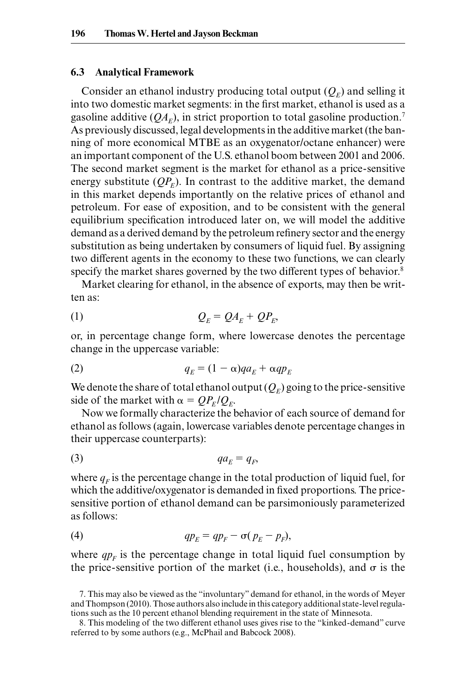#### **6.3 Analytical Framework**

Consider an ethanol industry producing total output  $(Q_F)$  and selling it into two domestic market segments: in the first market, ethanol is used as a gasoline additive  $(OA<sub>F</sub>)$ , in strict proportion to total gasoline production.<sup>7</sup> As previously discussed, legal developments in the additive market (the banning of more economical MTBE as an oxygenator/octane enhancer) were an important component of the U.S. ethanol boom between 2001 and 2006. The second market segment is the market for ethanol as a price- sensitive energy substitute  $OP<sub>F</sub>$ ). In contrast to the additive market, the demand in this market depends importantly on the relative prices of ethanol and petroleum. For ease of exposition, and to be consistent with the general equilibrium specification introduced later on, we will model the additive demand as a derived demand by the petroleum refinery sector and the energy substitution as being undertaken by consumers of liquid fuel. By assigning two different agents in the economy to these two functions, we can clearly specify the market shares governed by the two different types of behavior.<sup>8</sup>

Market clearing for ethanol, in the absence of exports, may then be written as:

$$
Q_E = Q A_E + Q P_E,
$$

or, in percentage change form, where lowercase denotes the percentage change in the uppercase variable:

$$
q_E = (1 - \alpha)qa_E + \alpha qp_E
$$

We denote the share of total ethanol output  $(Q_F)$  going to the price-sensitive side of the market with  $\alpha = QP_E/Q_E$ .

Now we formally characterize the behavior of each source of demand for ethanol as follows (again, lowercase variables denote percentage changes in their uppercase counterparts):

$$
(3) \t\t qa_E = q_F,
$$

where  $q_F$  is the percentage change in the total production of liquid fuel, for which the additive/oxygenator is demanded in fixed proportions. The price sensitive portion of ethanol demand can be parsimoniously parameterized as follows:

(4) *qpE qpF* !( *pE pF*),

where  $qp_F$  is the percentage change in total liquid fuel consumption by the price-sensitive portion of the market (i.e., households), and  $\sigma$  is the

<sup>7.</sup> This may also be viewed as the "involuntary" demand for ethanol, in the words of Meyer and Thompson (2010). Those authors also include in this category additional state- level regulations such as the 10 percent ethanol blending requirement in the state of Minnesota.

<sup>8.</sup> This modeling of the two different ethanol uses gives rise to the "kinked- demand" curve referred to by some authors (e.g., McPhail and Babcock 2008).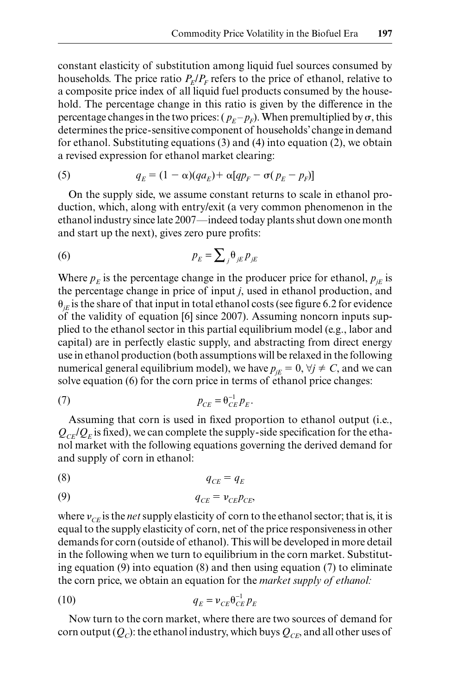constant elasticity of substitution among liquid fuel sources consumed by households. The price ratio  $P_F/P_F$  refers to the price of ethanol, relative to a composite price index of all liquid fuel products consumed by the household. The percentage change in this ratio is given by the difference in the percentage changes in the two prices:  $(p_F - p_F)$ . When premultiplied by  $\sigma$ , this determines the price- sensitive component of households' change in demand for ethanol. Substituting equations (3) and (4) into equation (2), we obtain a revised expression for ethanol market clearing:

(5) 
$$
q_E = (1 - \alpha)(qa_E) + \alpha[qp_F - \sigma(p_E - p_F)]
$$

On the supply side, we assume constant returns to scale in ethanol production, which, along with entry/ exit (a very common phenomenon in the ethanol industry since late 2007—indeed today plants shut down one month and start up the next), gives zero pure profits:

$$
(6) \t\t\t p_E = \sum_j \theta_{jE} p_{jE}
$$

Where  $p_F$  is the percentage change in the producer price for ethanol,  $p_{IF}$  is the percentage change in price of input *j*, used in ethanol production, and  $\theta_{IF}$  is the share of that input in total ethanol costs (see figure 6.2 for evidence of the validity of equation [6] since 2007). Assuming noncorn inputs supplied to the ethanol sector in this partial equilibrium model (e.g., labor and capital) are in perfectly elastic supply, and abstracting from direct energy use in ethanol production (both assumptions will be relaxed in the following numerical general equilibrium model), we have  $p_{jE} = 0$ ,  $\forall j \neq C$ , and we can solve equation (6) for the corn price in terms of ethanol price changes:

$$
p_{CE} = \theta_{CE}^{-1} p_E.
$$

Assuming that corn is used in fixed proportion to ethanol output (i.e.,  $Q_{CF}/Q_F$  is fixed), we can complete the supply-side specification for the ethanol market with the following equations governing the derived demand for and supply of corn in ethanol:

$$
q_{CE} = q_E
$$

$$
q_{CE} = v_{CE} p_{CE},
$$

where  $v_{CF}$  is the *net* supply elasticity of corn to the ethanol sector; that is, it is equal to the supply elasticity of corn, net of the price responsiveness in other demands for corn (outside of ethanol). This will be developed in more detail in the following when we turn to equilibrium in the corn market. Substituting equation (9) into equation (8) and then using equation (7) to eliminate the corn price, we obtain an equation for the *market supply of ethanol:*

$$
q_E = v_{CE} \theta_{CE}^{-1} p_E
$$

Now turn to the corn market, where there are two sources of demand for corn output  $(Q<sub>c</sub>)$ : the ethanol industry, which buys  $Q<sub>CF</sub>$ , and all other uses of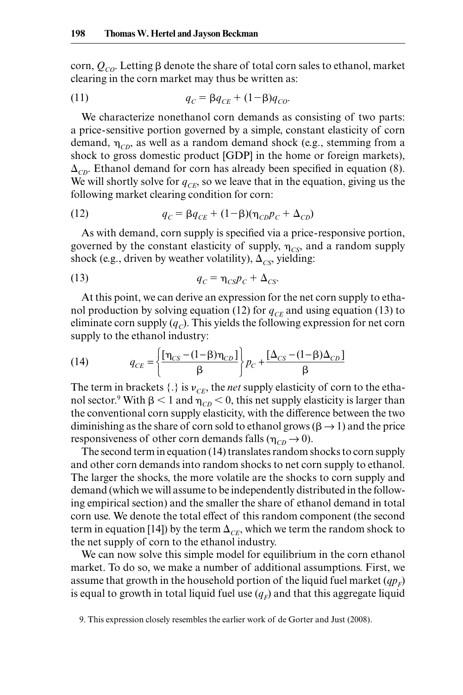corn,  $Q_{CO}$ . Letting  $\beta$  denote the share of total corn sales to ethanol, market clearing in the corn market may thus be written as:

(11) 
$$
q_C = \beta q_{CE} + (1 - \beta) q_{CO}.
$$

We characterize nonethanol corn demands as consisting of two parts: a price- sensitive portion governed by a simple, constant elasticity of corn demand,  $\eta_{CD}$ , as well as a random demand shock (e.g., stemming from a shock to gross domestic product [GDP] in the home or foreign markets),  $\Delta_{CD}$ . Ethanol demand for corn has already been specified in equation (8). We will shortly solve for  $q_{CF}$ , so we leave that in the equation, giving us the following market clearing condition for corn:

(12) 
$$
q_C = \beta q_{CE} + (1 - \beta)(\eta_{CD} p_C + \Delta_{CD})
$$

As with demand, corn supply is specified via a price-responsive portion, governed by the constant elasticity of supply,  $\eta_{CS}$ , and a random supply shock (e.g., driven by weather volatility),  $\Delta_{CS}$ , yielding:

$$
q_C = \eta_{CS} p_C + \Delta_{CS}.
$$

At this point, we can derive an expression for the net corn supply to ethanol production by solving equation (12) for  $q_{CE}$  and using equation (13) to eliminate corn supply  $(q_c)$ . This yields the following expression for net corn supply to the ethanol industry:

(14) 
$$
q_{CE} = \left\{ \frac{\left[\eta_{CS} - (1 - \beta)\eta_{CD}\right]}{\beta} \right\} p_C + \frac{\left[\Delta_{CS} - (1 - \beta)\Delta_{CD}\right]}{\beta}
$$

The term in brackets  $\{\cdot\}$  is  $v_{CF}$ , the *net* supply elasticity of corn to the ethanol sector.<sup>9</sup> With  $\beta$  < 1 and  $\eta_{CD}$  < 0, this net supply elasticity is larger than the conventional corn supply elasticity, with the difference between the two diminishing as the share of corn sold to ethanol grows ( $\beta \rightarrow 1$ ) and the price responsiveness of other corn demands falls ( $\eta_{CD} \rightarrow 0$ ).

The second term in equation (14) translates random shocks to corn supply and other corn demands into random shocks to net corn supply to ethanol. The larger the shocks, the more volatile are the shocks to corn supply and demand (which we will assume to be independently distributed in the following empirical section) and the smaller the share of ethanol demand in total corn use. We denote the total effect of this random component (the second term in equation [14]) by the term  $\Delta_{CF}$ , which we term the random shock to the net supply of corn to the ethanol industry.

We can now solve this simple model for equilibrium in the corn ethanol market. To do so, we make a number of additional assumptions. First, we assume that growth in the household portion of the liquid fuel market  $(qp<sub>F</sub>)$ is equal to growth in total liquid fuel use  $(q_F)$  and that this aggregate liquid

<sup>9.</sup> This expression closely resembles the earlier work of de Gorter and Just (2008).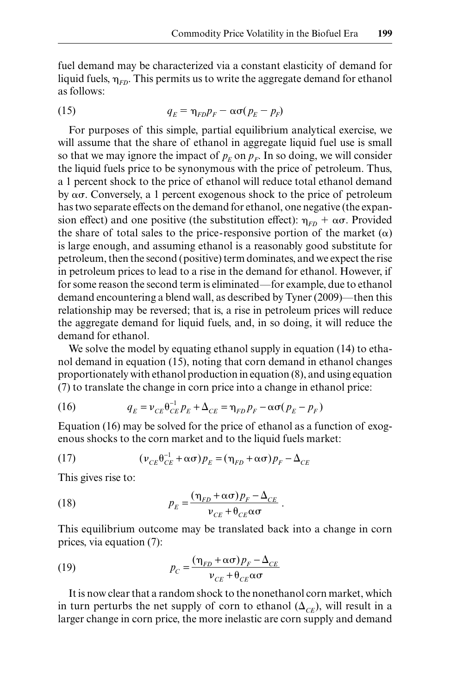fuel demand may be characterized via a constant elasticity of demand for liquid fuels,  $\eta_{FD}$ . This permits us to write the aggregate demand for ethanol as follows:

(15) 
$$
q_E = \eta_{FD} p_F - \alpha \sigma (p_E - p_F)
$$

For purposes of this simple, partial equilibrium analytical exercise, we will assume that the share of ethanol in aggregate liquid fuel use is small so that we may ignore the impact of  $p_F$  on  $p_F$ . In so doing, we will consider the liquid fuels price to be synonymous with the price of petroleum. Thus, a 1 percent shock to the price of ethanol will reduce total ethanol demand by  $\alpha\sigma$ . Conversely, a 1 percent exogenous shock to the price of petroleum has two separate effects on the demand for ethanol, one negative (the expansion effect) and one positive (the substitution effect):  $\eta_{FD} + \alpha \sigma$ . Provided the share of total sales to the price-responsive portion of the market  $(\alpha)$ is large enough, and assuming ethanol is a reasonably good substitute for petroleum, then the second (positive) term dominates, and we expect the rise in petroleum prices to lead to a rise in the demand for ethanol. However, if for some reason the second term is eliminated—for example, due to ethanol demand encountering a blend wall, as described by Tyner (2009)—then this relationship may be reversed; that is, a rise in petroleum prices will reduce the aggregate demand for liquid fuels, and, in so doing, it will reduce the demand for ethanol.

We solve the model by equating ethanol supply in equation (14) to ethanol demand in equation (15), noting that corn demand in ethanol changes proportionately with ethanol production in equation (8), and using equation (7) to translate the change in corn price into a change in ethanol price:

(16) 
$$
q_E = v_{CE} \theta_{CE}^{-1} p_E + \Delta_{CE} = \eta_{FD} p_F - \alpha \sigma (p_E - p_F)
$$

Equation (16) may be solved for the price of ethanol as a function of exogenous shocks to the corn market and to the liquid fuels market:

(17) 
$$
\left(v_{CE}\theta_{CE}^{-1}+\alpha\sigma\right)p_E = \left(\eta_{FD}+\alpha\sigma\right)p_F - \Delta_{CE}
$$

This gives rise to:

(18) 
$$
p_E = \frac{(\eta_{FD} + \alpha \sigma) p_F - \Delta_{CE}}{\nu_{CE} + \theta_{CE} \alpha \sigma}.
$$

This equilibrium outcome may be translated back into a change in corn prices, via equation (7):

(19) 
$$
p_C = \frac{(\eta_{FD} + \alpha \sigma) p_F - \Delta_{CE}}{v_{CE} + \theta_{CE} \alpha \sigma}
$$

It is now clear that a random shock to the nonethanol corn market, which in turn perturbs the net supply of corn to ethanol  $(\Delta_{CF})$ , will result in a larger change in corn price, the more inelastic are corn supply and demand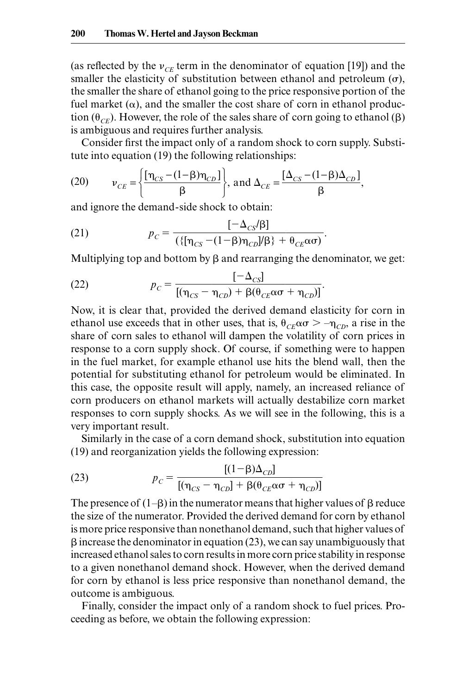(as reflected by the  $v_{CE}$  term in the denominator of equation [19]) and the smaller the elasticity of substitution between ethanol and petroleum  $(\sigma)$ , the smaller the share of ethanol going to the price responsive portion of the fuel market  $(\alpha)$ , and the smaller the cost share of corn in ethanol production  $(\theta_{CF})$ . However, the role of the sales share of corn going to ethanol ( $\beta$ ) is ambiguous and requires further analysis.

Consider first the impact only of a random shock to corn supply. Substitute into equation (19) the following relationships:

(20) 
$$
v_{CE} = \left\{ \frac{\left[\eta_{CS} - (1-\beta)\eta_{CD}\right]}{\beta} \right\}, \text{ and } \Delta_{CE} = \frac{\left[\Delta_{CS} - (1-\beta)\Delta_{CD}\right]}{\beta},
$$

and ignore the demand- side shock to obtain:

(21) 
$$
p_C = \frac{[-\Delta_{CS}/\beta]}{(\{\eta_{CS} - (1-\beta)\eta_{CD} / \beta\} + \theta_{CE} \alpha \sigma)}.
$$

Multiplying top and bottom by 
$$
\beta
$$
 and rearranging the denominator, we get:  
(22) 
$$
p_C = \frac{[-\Delta_{CS}]}{[(\eta_{CS} - \eta_{CD}) + \beta(\theta_{CE} \alpha \sigma + \eta_{CD})]}.
$$

Now, it is clear that, provided the derived demand elasticity for corn in ethanol use exceeds that in other uses, that is,  $\theta_{CE} \alpha \sigma > -\eta_{CD}$ , a rise in the share of corn sales to ethanol will dampen the volatility of corn prices in response to a corn supply shock. Of course, if something were to happen in the fuel market, for example ethanol use hits the blend wall, then the potential for substituting ethanol for petroleum would be eliminated. In this case, the opposite result will apply, namely, an increased reliance of corn producers on ethanol markets will actually destabilize corn market responses to corn supply shocks. As we will see in the following, this is a very important result.

Similarly in the case of a corn demand shock, substitution into equation

(19) and reorganization yields the following expression:  
(23) 
$$
p_C = \frac{[(1-\beta)\Delta_{CD}]}{[(\eta_{CS} - \eta_{CD}] + \beta(\theta_{CE}\alpha\sigma + \eta_{CD})]}
$$

The presence of  $(1-\beta)$  in the numerator means that higher values of  $\beta$  reduce the size of the numerator. Provided the derived demand for corn by ethanol is more price responsive than nonethanol demand, such that higher values of  $\beta$  increase the denominator in equation (23), we can say unambiguously that increased ethanol sales to corn results in more corn price stability in response to a given nonethanol demand shock. However, when the derived demand for corn by ethanol is less price responsive than nonethanol demand, the outcome is ambiguous.

Finally, consider the impact only of a random shock to fuel prices. Proceeding as before, we obtain the following expression: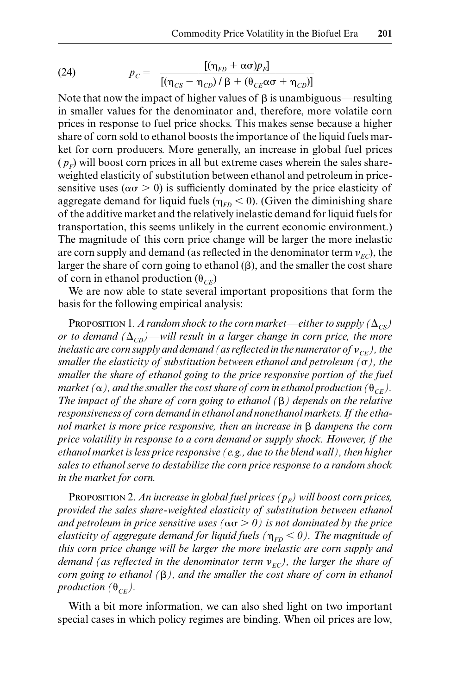(24) 
$$
p_C = \frac{[(\eta_{FD} + \alpha \sigma)p_F]}{[(\eta_{CS} - \eta_{CD})/\beta + (\theta_{CE}\alpha\sigma + \eta_{CD})]}
$$

Note that now the impact of higher values of  $\beta$  is unambiguous—resulting in smaller values for the denominator and, therefore, more volatile corn prices in response to fuel price shocks. This makes sense because a higher share of corn sold to ethanol boosts the importance of the liquid fuels market for corn producers. More generally, an increase in global fuel prices  $(p_F)$  will boost corn prices in all but extreme cases wherein the sales share weighted elasticity of substitution between ethanol and petroleum in price sensitive uses ( $\alpha \sigma > 0$ ) is sufficiently dominated by the price elasticity of aggregate demand for liquid fuels ( $\eta_{FD}$  < 0). (Given the diminishing share of the additive market and the relatively inelastic demand for liquid fuels for transportation, this seems unlikely in the current economic environment.) The magnitude of this corn price change will be larger the more inelastic are corn supply and demand (as reflected in the denominator term  $v_{EC}$ ), the larger the share of corn going to ethanol  $(\beta)$ , and the smaller the cost share of corn in ethanol production  $(\theta_{CF})$ 

We are now able to state several important propositions that form the basis for the following empirical analysis:

PROPOSITION 1. A random shock to the corn market—either to supply  $(\Delta_{CS})$ *or to demand*  $(\Delta_{CD})$ —will result in a larger change in corn price, the more *inelastic are corn supply and demand (as reflected in the numerator of*  $v_{CF}$ ), the *smaller the elasticity of substitution between ethanol and petroleum (* $\sigma$ *), the smaller the share of ethanol going to the price responsive portion of the fuel* market ( $\alpha$ ), and the smaller the cost share of corn in ethanol production ( $\theta_{\textit{CE}}$ ). *The impact of the share of corn going to ethanol ( ) depends on the relative responsiveness of corn demand in ethanol and nonethanol markets. If the ethanol market is more price responsive, then an increase in B dampens the corn price volatility in response to a corn demand or supply shock. However, if the ethanol market is less price responsive (e.g., due to the blend wall), then higher sales to ethanol serve to destabilize the corn price response to a random shock in the market for corn.*

PROPOSITION 2. An increase in global fuel prices  $(p_F)$  will boost corn prices, *provided the sales share- weighted elasticity of substitution between ethanol*  and petroleum in price sensitive uses ( $\alpha \sigma > 0$ ) is not dominated by the price *elasticity of aggregate demand for liquid fuels (* $\eta_{FD}$  < 0). The magnitude of *this corn price change will be larger the more inelastic are corn supply and demand (as reflected in the denominator term*  $v_{EC}$ *), the larger the share of corn going to ethanol ( ), and the smaller the cost share of corn in ethanol production*  $(\theta_{CE})$ .

With a bit more information, we can also shed light on two important special cases in which policy regimes are binding. When oil prices are low,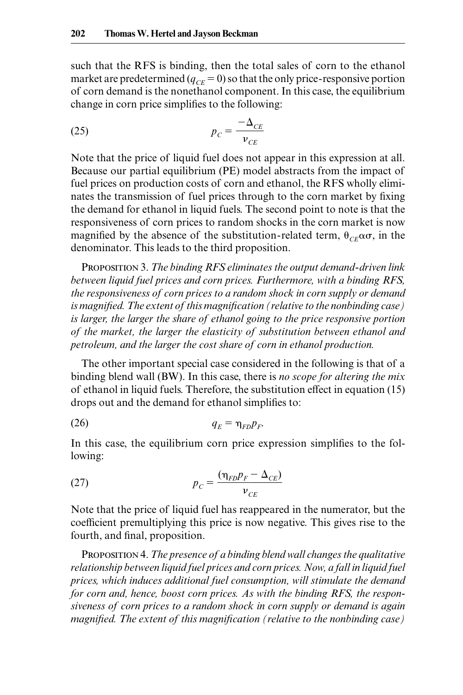such that the RFS is binding, then the total sales of corn to the ethanol market are predetermined  $(q_{CE} = 0)$  so that the only price-responsive portion of corn demand is the nonethanol component. In this case, the equilibrium change in corn price simplifies to the following:

$$
(25) \t\t\t p_C = \frac{-\Delta_{CE}}{v_{CE}}
$$

Note that the price of liquid fuel does not appear in this expression at all. Because our partial equilibrium (PE) model abstracts from the impact of fuel prices on production costs of corn and ethanol, the RFS wholly eliminates the transmission of fuel prices through to the corn market by fixing the demand for ethanol in liquid fuels. The second point to note is that the responsiveness of corn prices to random shocks in the corn market is now magnified by the absence of the substitution-related term,  $\theta_{CE} \alpha \sigma$ , in the denominator. This leads to the third proposition.

Proposition 3. *The binding RFS eliminates the output demand- driven link between liquid fuel prices and corn prices. Furthermore, with a binding RFS, the responsiveness of corn prices to a random shock in corn supply or demand*  is magnified. The extent of this magnification (relative to the nonbinding case) *is larger, the larger the share of ethanol going to the price responsive portion of the market, the larger the elasticity of substitution between ethanol and petroleum, and the larger the cost share of corn in ethanol production.*

The other important special case considered in the following is that of a binding blend wall (BW). In this case, there is *no scope for altering the mix* of ethanol in liquid fuels. Therefore, the substitution effect in equation (15) drops out and the demand for ethanol simplifies to:

$$
q_E = \eta_{FD} p_F.
$$

In this case, the equilibrium corn price expression simplifies to the following:

(27) 
$$
p_C = \frac{(\eta_{FD}p_F - \Delta_{CE})}{v_{CE}}
$$

Note that the price of liquid fuel has reappeared in the numerator, but the coefficient premultiplying this price is now negative. This gives rise to the fourth, and final, proposition.

Proposition 4. *The presence of a binding blend wall changes the qualitative relationship between liquid fuel prices and corn prices. Now, a fall in liquid fuel prices, which induces additional fuel consumption, will stimulate the demand for corn and, hence, boost corn prices. As with the binding RFS, the responsiveness of corn prices to a random shock in corn supply or demand is again magnified. The extent of this magnification (relative to the nonbinding case)*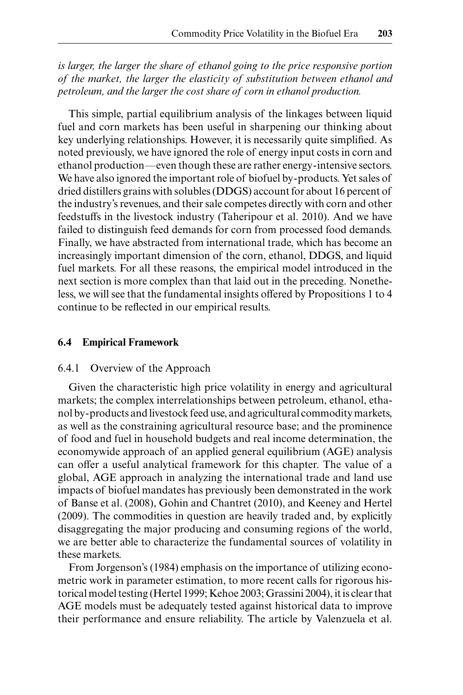*is larger, the larger the share of ethanol going to the price responsive portion of the market, the larger the elasticity of substitution between ethanol and petroleum, and the larger the cost share of corn in ethanol production.*

This simple, partial equilibrium analysis of the linkages between liquid fuel and corn markets has been useful in sharpening our thinking about key underlying relationships. However, it is necessarily quite simplified. As noted previously, we have ignored the role of energy input costs in corn and ethanol production—even though these are rather energy- intensive sectors. We have also ignored the important role of biofuel by- products. Yet sales of dried distillers grains with solubles (DDGS) account for about 16 percent of the industry's revenues, and their sale competes directly with corn and other feedstuffs in the livestock industry (Taheripour et al. 2010). And we have failed to distinguish feed demands for corn from processed food demands. Finally, we have abstracted from international trade, which has become an increasingly important dimension of the corn, ethanol, DDGS, and liquid fuel markets. For all these reasons, the empirical model introduced in the next section is more complex than that laid out in the preceding. Nonetheless, we will see that the fundamental insights offered by Propositions 1 to 4 continue to be reflected in our empirical results.

#### **6.4 Empirical Framework**

#### 6.4.1 Overview of the Approach

Given the characteristic high price volatility in energy and agricultural markets; the complex interrelationships between petroleum, ethanol, ethanol by- products and livestock feed use, and agricultural commodity markets, as well as the constraining agricultural resource base; and the prominence of food and fuel in household budgets and real income determination, the economywide approach of an applied general equilibrium (AGE) analysis can offer a useful analytical framework for this chapter. The value of a global, AGE approach in analyzing the international trade and land use impacts of biofuel mandates has previously been demonstrated in the work of Banse et al. (2008), Gohin and Chantret (2010), and Keeney and Hertel (2009). The commodities in question are heavily traded and, by explicitly disaggregating the major producing and consuming regions of the world, we are better able to characterize the fundamental sources of volatility in these markets.

From Jorgenson's (1984) emphasis on the importance of utilizing econometric work in parameter estimation, to more recent calls for rigorous historical model testing (Hertel 1999; Kehoe 2003; Grassini 2004), it is clear that AGE models must be adequately tested against historical data to improve their performance and ensure reliability. The article by Valenzuela et al.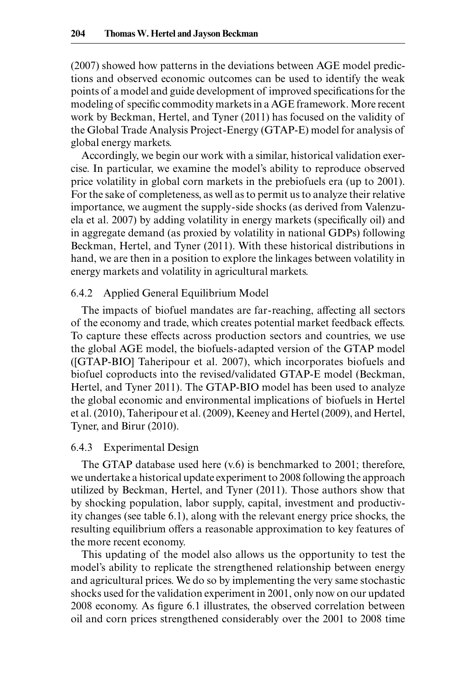(2007) showed how patterns in the deviations between AGE model predictions and observed economic outcomes can be used to identify the weak points of a model and guide development of improved specifications for the modeling of specific commodity markets in a AGE framework. More recent work by Beckman, Hertel, and Tyner (2011) has focused on the validity of the Global Trade Analysis Project-Energy (GTAP-E) model for analysis of global energy markets.

Accordingly, we begin our work with a similar, historical validation exercise. In particular, we examine the model's ability to reproduce observed price volatility in global corn markets in the prebiofuels era (up to 2001). For the sake of completeness, as well as to permit us to analyze their relative importance, we augment the supply- side shocks (as derived from Valenzuela et al. 2007) by adding volatility in energy markets (specifically oil) and in aggregate demand (as proxied by volatility in national GDPs) following Beckman, Hertel, and Tyner (2011). With these historical distributions in hand, we are then in a position to explore the linkages between volatility in energy markets and volatility in agricultural markets.

#### 6.4.2 Applied General Equilibrium Model

The impacts of biofuel mandates are far- reaching, affecting all sectors of the economy and trade, which creates potential market feedback effects. To capture these effects across production sectors and countries, we use the global AGE model, the biofuels- adapted version of the GTAP model ([GTAP- BIO] Taheripour et al. 2007), which incorporates biofuels and biofuel coproducts into the revised/validated GTAP-E model (Beckman, Hertel, and Tyner 2011). The GTAP-BIO model has been used to analyze the global economic and environmental implications of biofuels in Hertel et al. (2010), Taheripour et al. (2009), Keeney and Hertel (2009), and Hertel, Tyner, and Birur (2010).

#### 6.4.3 Experimental Design

The GTAP database used here  $(v.6)$  is benchmarked to 2001; therefore, we undertake a historical update experiment to 2008 following the approach utilized by Beckman, Hertel, and Tyner (2011). Those authors show that by shocking population, labor supply, capital, investment and productivity changes (see table 6.1), along with the relevant energy price shocks, the resulting equilibrium offers a reasonable approximation to key features of the more recent economy.

This updating of the model also allows us the opportunity to test the model's ability to replicate the strengthened relationship between energy and agricultural prices. We do so by implementing the very same stochastic shocks used for the validation experiment in 2001, only now on our updated 2008 economy. As figure 6.1 illustrates, the observed correlation between oil and corn prices strengthened considerably over the 2001 to 2008 time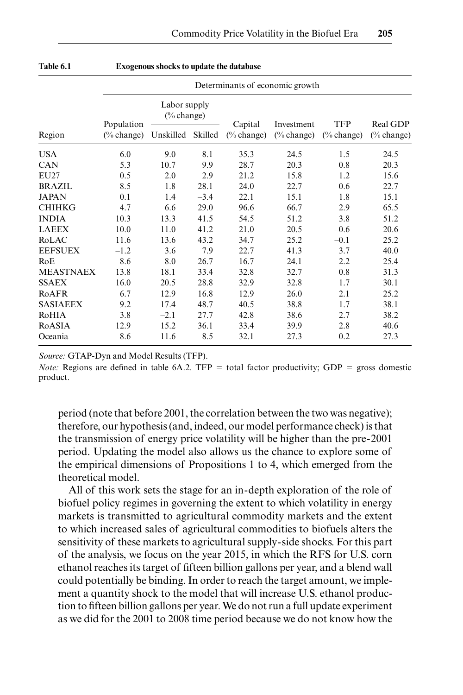|                  | Determinants of economic growth |                                       |         |               |                       |                       |            |  |  |  |
|------------------|---------------------------------|---------------------------------------|---------|---------------|-----------------------|-----------------------|------------|--|--|--|
|                  | Population                      | Labor supply<br>$(\% \text{ change})$ |         | Capital       | Investment            | TFP                   | Real GDP   |  |  |  |
| Region           | $(\%$ change)                   | Unskilled                             | Skilled | $(\%$ change) | $(\% \text{ change})$ | $(\% \text{ change})$ | (% change) |  |  |  |
| <b>USA</b>       | 6.0                             | 9.0                                   | 8.1     | 35.3          | 24.5                  | 1.5                   | 24.5       |  |  |  |
| <b>CAN</b>       | 5.3                             | 10.7                                  | 9.9     | 28.7          | 20.3                  | 0.8                   | 20.3       |  |  |  |
| EU27             | 0.5                             | 2.0                                   | 2.9     | 21.2          | 15.8                  | 1.2                   | 15.6       |  |  |  |
| <b>BRAZIL</b>    | 8.5                             | 1.8                                   | 28.1    | 24.0          | 22.7                  | 0.6                   | 22.7       |  |  |  |
| <b>JAPAN</b>     | 0.1                             | 1.4                                   | $-3.4$  | 22.1          | 15.1                  | 1.8                   | 15.1       |  |  |  |
| <b>CHIHKG</b>    | 4.7                             | 6.6                                   | 29.0    | 96.6          | 66.7                  | 2.9                   | 65.5       |  |  |  |
| <b>INDIA</b>     | 10.3                            | 13.3                                  | 41.5    | 54.5          | 51.2                  | 3.8                   | 51.2       |  |  |  |
| <b>LAEEX</b>     | 10.0                            | 11.0                                  | 41.2    | 21.0          | 20.5                  | $-0.6$                | 20.6       |  |  |  |
| RoLAC            | 11.6                            | 13.6                                  | 43.2    | 34.7          | 25.2                  | $-0.1$                | 25.2       |  |  |  |
| <b>EEFSUEX</b>   | $-1.2$                          | 3.6                                   | 7.9     | 22.7          | 41.3                  | 3.7                   | 40.0       |  |  |  |
| RoE              | 8.6                             | 8.0                                   | 26.7    | 16.7          | 24.1                  | 2.2                   | 25.4       |  |  |  |
| <b>MEASTNAEX</b> | 13.8                            | 18.1                                  | 33.4    | 32.8          | 32.7                  | 0.8                   | 31.3       |  |  |  |
| <b>SSAEX</b>     | 16.0                            | 20.5                                  | 28.8    | 32.9          | 32.8                  | 1.7                   | 30.1       |  |  |  |
| RoAFR            | 6.7                             | 12.9                                  | 16.8    | 12.9          | 26.0                  | 2.1                   | 25.2       |  |  |  |
| <b>SASIAEEX</b>  | 9.2                             | 17.4                                  | 48.7    | 40.5          | 38.8                  | 1.7                   | 38.1       |  |  |  |
| RoHIA            | 3.8                             | $-2.1$                                | 27.7    | 42.8          | 38.6                  | 2.7                   | 38.2       |  |  |  |
| RoASIA           | 12.9                            | 15.2                                  | 36.1    | 33.4          | 39.9                  | 2.8                   | 40.6       |  |  |  |
| Oceania          | 8.6                             | 11.6                                  | 8.5     | 32.1          | 27.3                  | 0.2                   | 27.3       |  |  |  |

| Table 6.1 | <b>Exogenous shocks to update the database</b> |  |  |
|-----------|------------------------------------------------|--|--|
|-----------|------------------------------------------------|--|--|

Source: GTAP-Dyn and Model Results (TFP).

*Note:* Regions are defined in table  $6A.2$ . TFP = total factor productivity; GDP = gross domestic product.

period (note that before 2001, the correlation between the two was negative); therefore, our hypothesis (and, indeed, our model performance check) is that the transmission of energy price volatility will be higher than the pre- 2001 period. Updating the model also allows us the chance to explore some of the empirical dimensions of Propositions 1 to 4, which emerged from the theoretical model.

All of this work sets the stage for an in- depth exploration of the role of biofuel policy regimes in governing the extent to which volatility in energy markets is transmitted to agricultural commodity markets and the extent to which increased sales of agricultural commodities to biofuels alters the sensitivity of these markets to agricultural supply- side shocks. For this part of the analysis, we focus on the year 2015, in which the RFS for U.S. corn ethanol reaches its target of fifteen billion gallons per year, and a blend wall could potentially be binding. In order to reach the target amount, we implement a quantity shock to the model that will increase U.S. ethanol production to fifteen billion gallons per year. We do not run a full update experiment as we did for the 2001 to 2008 time period because we do not know how the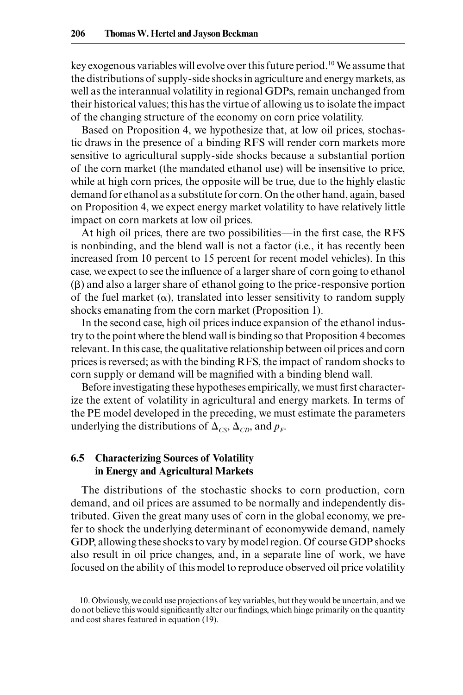key exogenous variables will evolve over this future period.10 We assume that the distributions of supply- side shocks in agriculture and energy markets, as well as the interannual volatility in regional GDPs, remain unchanged from their historical values; this has the virtue of allowing us to isolate the impact of the changing structure of the economy on corn price volatility.

Based on Proposition 4, we hypothesize that, at low oil prices, stochastic draws in the presence of a binding RFS will render corn markets more sensitive to agricultural supply- side shocks because a substantial portion of the corn market (the mandated ethanol use) will be insensitive to price, while at high corn prices, the opposite will be true, due to the highly elastic demand for ethanol as a substitute for corn. On the other hand, again, based on Proposition 4, we expect energy market volatility to have relatively little impact on corn markets at low oil prices.

At high oil prices, there are two possibilities—in the first case, the RFS is nonbinding, and the blend wall is not a factor (i.e., it has recently been increased from 10 percent to 15 percent for recent model vehicles). In this case, we expect to see the influence of a larger share of corn going to ethanol  $(\beta)$  and also a larger share of ethanol going to the price-responsive portion of the fuel market  $(\alpha)$ , translated into lesser sensitivity to random supply shocks emanating from the corn market (Proposition 1).

In the second case, high oil prices induce expansion of the ethanol industry to the point where the blend wall is binding so that Proposition 4 becomes relevant. In this case, the qualitative relationship between oil prices and corn prices is reversed; as with the binding RFS, the impact of random shocks to corn supply or demand will be magnified with a binding blend wall.

Before investigating these hypotheses empirically, we must first characterize the extent of volatility in agricultural and energy markets. In terms of the PE model developed in the preceding, we must estimate the parameters underlying the distributions of  $\Delta_{CS}$ ,  $\Delta_{CD}$ , and  $p_F$ .

## **6.5 Characterizing Sources of Volatility in Energy and Agricultural Markets**

The distributions of the stochastic shocks to corn production, corn demand, and oil prices are assumed to be normally and independently distributed. Given the great many uses of corn in the global economy, we prefer to shock the underlying determinant of economywide demand, namely GDP, allowing these shocks to vary by model region. Of course GDP shocks also result in oil price changes, and, in a separate line of work, we have focused on the ability of this model to reproduce observed oil price volatility

<sup>10.</sup> Obviously, we could use projections of key variables, but they would be uncertain, and we do not believe this would significantly alter our findings, which hinge primarily on the quantity and cost shares featured in equation (19).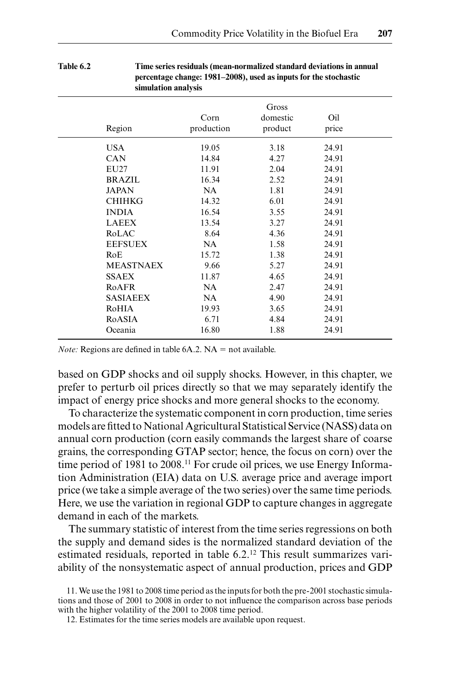| эшпинитон инигуэгэ |            |          |       |  |
|--------------------|------------|----------|-------|--|
|                    |            | Gross    |       |  |
|                    | Corn       | domestic | Oil   |  |
| Region             | production | product  | price |  |
| <b>USA</b>         | 19.05      | 3.18     | 24.91 |  |
| <b>CAN</b>         | 14.84      | 4.27     | 24.91 |  |
| EU27               | 11.91      | 2.04     | 24.91 |  |
| <b>BRAZIL</b>      | 16.34      | 2.52     | 24.91 |  |
| <b>JAPAN</b>       | NA         | 1.81     | 24.91 |  |
| <b>CHIHKG</b>      | 14.32      | 6.01     | 24.91 |  |
| <b>INDIA</b>       | 16.54      | 3.55     | 24.91 |  |
| <b>LAEEX</b>       | 13.54      | 3.27     | 24.91 |  |
| RoLAC              | 8.64       | 4.36     | 24.91 |  |
| <b>EEFSUEX</b>     | NA         | 1.58     | 24.91 |  |
| RoE                | 15.72      | 1.38     | 24.91 |  |
| <b>MEASTNAEX</b>   | 9.66       | 5.27     | 24.91 |  |
| <b>SSAEX</b>       | 11.87      | 4.65     | 24.91 |  |
| RoAFR              | NA.        | 2.47     | 24.91 |  |
| <b>SASIAEEX</b>    | NA.        | 4.90     | 24.91 |  |
| RoHIA              | 19.93      | 3.65     | 24.91 |  |
| RoASIA             | 6.71       | 4.84     | 24.91 |  |
| Oceania            | 16.80      | 1.88     | 24.91 |  |
|                    |            |          |       |  |

#### **Table 6.2 Time series residuals (mean-normalized standard deviations in annual percentage change: 1981–2008), used as inputs for the stochastic simulation analysis**

*Note:* Regions are defined in table  $6A.2$ .  $NA = not available$ .

based on GDP shocks and oil supply shocks. However, in this chapter, we prefer to perturb oil prices directly so that we may separately identify the impact of energy price shocks and more general shocks to the economy.

To characterize the systematic component in corn production, time series models are fitted to National Agricultural Statistical Service (NASS) data on annual corn production (corn easily commands the largest share of coarse grains, the corresponding GTAP sector; hence, the focus on corn) over the time period of 1981 to 2008.<sup>11</sup> For crude oil prices, we use Energy Information Administration (EIA) data on U.S. average price and average import price (we take a simple average of the two series) over the same time periods. Here, we use the variation in regional GDP to capture changes in aggregate demand in each of the markets.

The summary statistic of interest from the time series regressions on both the supply and demand sides is the normalized standard deviation of the estimated residuals, reported in table 6.2.<sup>12</sup> This result summarizes variability of the nonsystematic aspect of annual production, prices and GDP

12. Estimates for the time series models are available upon request.

<sup>11.</sup> We use the 1981 to 2008 time period as the inputs for both the pre- 2001 stochastic simulations and those of 2001 to 2008 in order to not influence the comparison across base periods with the higher volatility of the 2001 to 2008 time period.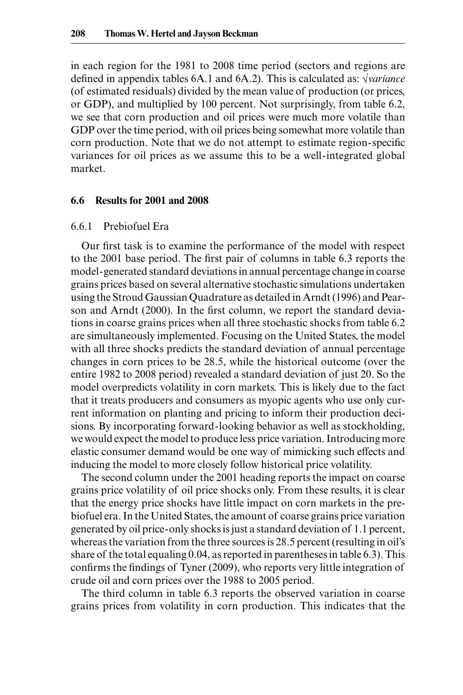in each region for the 1981 to 2008 time period (sectors and regions are defined in appendix tables 6A.1 and 6A.2). This is calculated as: √*variance* (of estimated residuals) divided by the mean value of production (or prices, or GDP), and multiplied by 100 percent. Not surprisingly, from table 6.2, we see that corn production and oil prices were much more volatile than GDP over the time period, with oil prices being somewhat more volatile than corn production. Note that we do not attempt to estimate region-specific variances for oil prices as we assume this to be a well-integrated global market.

#### **6.6 Results for 2001 and 2008**

#### 6.6.1 Prebiofuel Era

Our first task is to examine the performance of the model with respect to the 2001 base period. The first pair of columns in table 6.3 reports the model- generated standard deviations in annual percentage change in coarse grains prices based on several alternative stochastic simulations undertaken using the Stroud Gaussian Quadrature as detailed in Arndt (1996) and Pearson and Arndt (2000). In the first column, we report the standard deviations in coarse grains prices when all three stochastic shocks from table 6.2 are simultaneously implemented. Focusing on the United States, the model with all three shocks predicts the standard deviation of annual percentage changes in corn prices to be 28.5, while the historical outcome (over the entire 1982 to 2008 period) revealed a standard deviation of just 20. So the model overpredicts volatility in corn markets. This is likely due to the fact that it treats producers and consumers as myopic agents who use only current information on planting and pricing to inform their production decisions. By incorporating forward- looking behavior as well as stockholding, we would expect the model to produce less price variation. Introducing more elastic consumer demand would be one way of mimicking such effects and inducing the model to more closely follow historical price volatility.

The second column under the 2001 heading reports the impact on coarse grains price volatility of oil price shocks only. From these results, it is clear that the energy price shocks have little impact on corn markets in the prebiofuel era. In the United States, the amount of coarse grains price variation generated by oil price- only shocks is just a standard deviation of 1.1 percent, whereas the variation from the three sources is 28.5 percent (resulting in oil's share of the total equaling 0.04, as reported in parentheses in table 6.3). This confirms the findings of Tyner (2009), who reports very little integration of crude oil and corn prices over the 1988 to 2005 period.

The third column in table 6.3 reports the observed variation in coarse grains prices from volatility in corn production. This indicates that the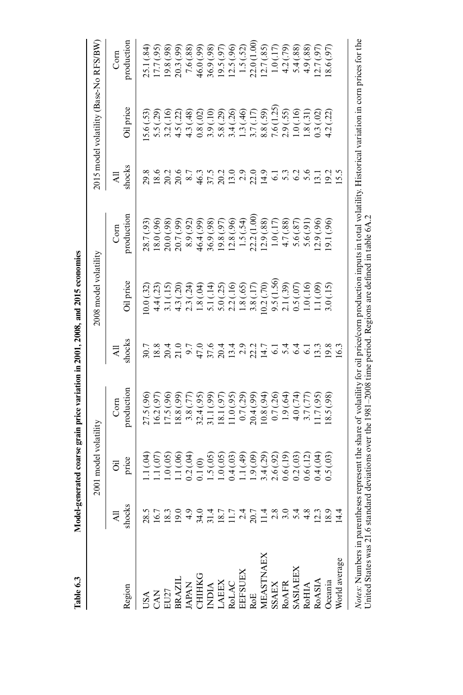| Table 6.3                                                                                                                                                                    |                   |                                    | Model-generated coarse grain price variation in 2001, 2008, and 2015 economies |                                                                                                                                     |                                                                                                                   |                            |                     |                                       |                            |
|------------------------------------------------------------------------------------------------------------------------------------------------------------------------------|-------------------|------------------------------------|--------------------------------------------------------------------------------|-------------------------------------------------------------------------------------------------------------------------------------|-------------------------------------------------------------------------------------------------------------------|----------------------------|---------------------|---------------------------------------|----------------------------|
|                                                                                                                                                                              |                   | 2001 model volatility              |                                                                                |                                                                                                                                     | 2008 model volatility                                                                                             |                            |                     | 2015 model volatility (Base-No RFS/BW |                            |
|                                                                                                                                                                              |                   | ö                                  | Com                                                                            | ₹                                                                                                                                   |                                                                                                                   | Com                        | $\overline{AB}$     |                                       | Com                        |
| Region                                                                                                                                                                       | shocks            | price                              | production                                                                     | shocks                                                                                                                              | Oil price                                                                                                         | productior                 | shocks              | Oil price                             | production                 |
| USA CAN<br>CAN<br>EU27 BRAZIL<br>BRAZIL<br>CHIHKG<br>CHIHKG<br>CHIHKG<br>MEASTNAEX<br>ROAFR<br>ROAFR<br>ROAFR<br>ROAFR<br>ROAFR<br>ROAFR<br>ROAFR<br>ROAFR<br>ROAFR<br>ROAFR |                   | (40)                               | 27.5 (.96)                                                                     |                                                                                                                                     | 0.0(32)                                                                                                           | 28.7 (.93)                 |                     | 5.6 (.53)                             | 25.1 (.84)                 |
|                                                                                                                                                                              |                   | 1.1 $(.07)$                        | 16.2(.97)                                                                      | c x x q o c o v q q o c l q q q o c o c q q<br>c x q q o c o v q q o c q q q o c o q q q<br>c x q q o c v q q o c q q q q q q q q q | 4.4 (.23)                                                                                                         | 18.0 (.96)                 |                     | 5.5 (.29)                             | 17.7(.95)<br>19.8 (.98)    |
|                                                                                                                                                                              |                   | 1.0(0.05)                          | 17.5(.96)                                                                      |                                                                                                                                     | 3.1(.15)                                                                                                          | (98)<br>20.0(              |                     | 3.2(.16)                              |                            |
|                                                                                                                                                                              |                   |                                    | (8.8)(.99)                                                                     |                                                                                                                                     |                                                                                                                   | (99)<br>20.7(              |                     | (22)<br>4.5(                          | 20.3 (.99)                 |
|                                                                                                                                                                              |                   |                                    | 3.8 (.77)                                                                      |                                                                                                                                     | 4.3 (.20)<br>2.3 (.24)                                                                                            | (92)<br>8.9(               |                     | (48)<br>4.3(                          | 7.6 (.88)                  |
|                                                                                                                                                                              |                   | $1.1(06)$<br>$0.2(04)$<br>$0.1(0)$ | 32.4 (.95)                                                                     |                                                                                                                                     | 1.8(.04)                                                                                                          | 46.4 (.99)                 |                     | (02)<br>0.8(                          | 46.0 (.99)                 |
|                                                                                                                                                                              |                   | 1.5(05)                            | 31.1(.99)                                                                      |                                                                                                                                     | 5.1 (.14)                                                                                                         | 36.9 (.98)                 |                     |                                       | 36.9 (.98)                 |
|                                                                                                                                                                              |                   | 1.0(0.05)                          | 18.1 (.97)                                                                     |                                                                                                                                     |                                                                                                                   | 19.8 (.97)                 |                     | $3.9(.10)$<br>$5.8(.29)$              | $19.5(.97)$<br>$12.5(.96)$ |
|                                                                                                                                                                              |                   | 0.4(03)                            | 11.0(0.95)                                                                     |                                                                                                                                     | $5.0(.25)$<br>$2.2(.16)$                                                                                          | 12.8 (.96)                 |                     | 3.4(0.26)                             |                            |
|                                                                                                                                                                              |                   |                                    | 0.7(.29)                                                                       |                                                                                                                                     | 1.8(.65)                                                                                                          |                            |                     |                                       | 1.5(.52)                   |
|                                                                                                                                                                              |                   | $1.1(49)$<br>$1.9(09)$             | 20.4(0.99)                                                                     |                                                                                                                                     | 3.8(.17)                                                                                                          | $1.5(.54)$<br>$22.2(1.00)$ |                     | $1.3(46)$<br>$3.7(17)$                | 22.0 (1.00)                |
|                                                                                                                                                                              |                   | 3.4(.29)                           | (94)                                                                           |                                                                                                                                     | (0.2(.70)                                                                                                         | 12.9 (.88)                 |                     |                                       | 12.7(0.85)                 |
|                                                                                                                                                                              |                   |                                    | 0.7(0.26)                                                                      |                                                                                                                                     | 9.5 (1.56)                                                                                                        | 1.0(.17)                   |                     | $8.8(.59)$<br>7.6 (1.25)              | (17)<br>$\frac{1}{0}$      |
|                                                                                                                                                                              |                   | $2.6(0.92)$<br>$0.6(0.19)$         | 1.9(.64)                                                                       |                                                                                                                                     |                                                                                                                   | 4.7 (.88)                  |                     | 2.9(.55)                              | 4.2 (.79)                  |
|                                                                                                                                                                              |                   | 0.2(03)                            | 4.0(74)                                                                        |                                                                                                                                     |                                                                                                                   | 5.6 (.87)                  |                     | 1.0(.16)                              | 5.4 (.88)                  |
|                                                                                                                                                                              |                   | 0.6(.12)                           | 3.7(.77)                                                                       |                                                                                                                                     |                                                                                                                   | 5.6(.91)                   |                     |                                       | 4.9 (.88)                  |
|                                                                                                                                                                              |                   | (40.4)                             | 1.7(95)                                                                        |                                                                                                                                     | $\begin{array}{l} 2.1 \ (39) \\ 0.5 \ (37) \\ 1.0 \ (1.6) \\ 1.1 \ (39) \\ 1.1 \ (39) \\ 3.0 \ (1.5) \end{array}$ | 2.9(.96)                   |                     | $1.8(.31)$<br>0.3 $(.02)$             | (2.7(97)                   |
|                                                                                                                                                                              | $\frac{139}{184}$ | 0.5(03)                            | (8.5(.98)                                                                      |                                                                                                                                     |                                                                                                                   | 19.1 (.96)                 | $\frac{19.2}{15.5}$ | (22)<br>4.2(                          | (16') 9'81                 |
|                                                                                                                                                                              |                   |                                    |                                                                                | 16.3                                                                                                                                |                                                                                                                   |                            |                     |                                       |                            |

Notes: Numbers in parentheses represent the share of volatility for oil price/corn production inputs in total volatility. Historical variation in corn prices for the<br>United States was 21.6 standard deviations over the 1981 *Notes:* Numbers in parentheses represent the share of volatility for oil price/corn production inputs in total volatility. Historical variation in corn prices for the United States was 21.6 standard deviations over the 1981–2008 time period. Regions are defined in table 6A.2

 $12015$  $\therefore$  2001 2009 j.  $\cdot$  $\cdot$  $\ddot{\cdot}$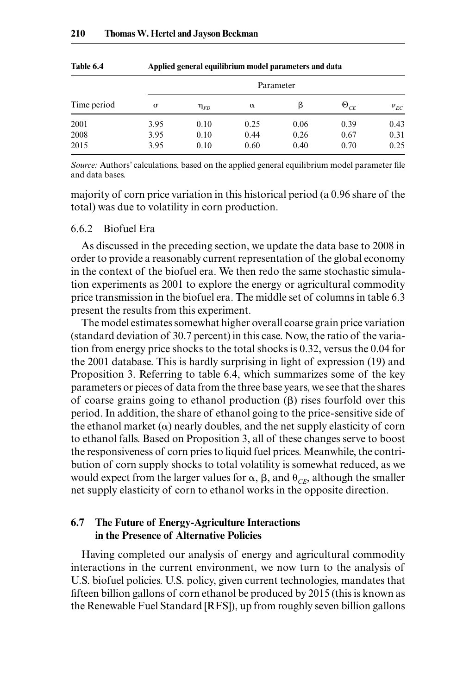|             |          |             |          | Parameter |               |          |
|-------------|----------|-------------|----------|-----------|---------------|----------|
| Time period | $\sigma$ | $\eta_{FD}$ | $\alpha$ | ß         | $\Theta_{CE}$ | $v_{EC}$ |
| 2001        | 3.95     | 0.10        | 0.25     | 0.06      | 0.39          | 0.43     |
| 2008        | 3.95     | 0.10        | 0.44     | 0.26      | 0.67          | 0.31     |
| 2015        | 3.95     | 0.10        | 0.60     | 0.40      | 0.70          | 0.25     |

**Table 6.4 Applied general equilibrium model parameters and data**

*Source:* Authors' calculations, based on the applied general equilibrium model parameter file and data bases.

majority of corn price variation in this historical period (a 0.96 share of the total) was due to volatility in corn production.

#### 6.6.2 Biofuel Era

As discussed in the preceding section, we update the data base to 2008 in order to provide a reasonably current representation of the global economy in the context of the biofuel era. We then redo the same stochastic simulation experiments as 2001 to explore the energy or agricultural commodity price transmission in the biofuel era. The middle set of columns in table 6.3 present the results from this experiment.

The model estimates somewhat higher overall coarse grain price variation (standard deviation of 30.7 percent) in this case. Now, the ratio of the variation from energy price shocks to the total shocks is 0.32, versus the 0.04 for the 2001 database. This is hardly surprising in light of expression (19) and Proposition 3. Referring to table 6.4, which summarizes some of the key parameters or pieces of data from the three base years, we see that the shares of coarse grains going to ethanol production  $(\beta)$  rises fourfold over this period. In addition, the share of ethanol going to the price- sensitive side of the ethanol market  $(\alpha)$  nearly doubles, and the net supply elasticity of corn to ethanol falls. Based on Proposition 3, all of these changes serve to boost the responsiveness of corn pries to liquid fuel prices. Meanwhile, the contribution of corn supply shocks to total volatility is somewhat reduced, as we would expect from the larger values for  $\alpha$ ,  $\beta$ , and  $\theta_{CE}$ , although the smaller net supply elasticity of corn to ethanol works in the opposite direction.

### **6.7 The Future of Energy- Agriculture Interactions in the Presence of Alternative Policies**

Having completed our analysis of energy and agricultural commodity interactions in the current environment, we now turn to the analysis of U.S. biofuel policies. U.S. policy, given current technologies, mandates that fifteen billion gallons of corn ethanol be produced by 2015 (this is known as the Renewable Fuel Standard [RFS]), up from roughly seven billion gallons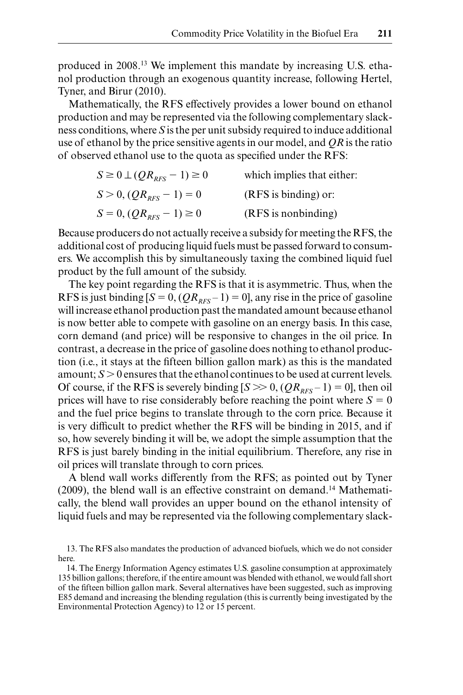produced in 2008.13 We implement this mandate by increasing U.S. ethanol production through an exogenous quantity increase, following Hertel, Tyner, and Birur (2010).

Mathematically, the RFS effectively provides a lower bound on ethanol production and may be represented via the following complementary slackness conditions, where *S* is the per unit subsidy required to induce additional use of ethanol by the price sensitive agents in our model, and *QR* is the ratio of observed ethanol use to the quota as specified under the RFS:

| $S \ge 0 \perp (QR_{RFS} - 1) \ge 0$ | which implies that either: |
|--------------------------------------|----------------------------|
| $S > 0$ , $QR_{RFS} - 1$ = 0         | $(RFS)$ is binding) or:    |
| $S = 0$ , $QR_{RFS} - 1 \ge 0$       | (RFS is nonbinding)        |

Because producers do not actually receive a subsidy for meeting the RFS, the additional cost of producing liquid fuels must be passed forward to consumers. We accomplish this by simultaneously taxing the combined liquid fuel product by the full amount of the subsidy.

The key point regarding the RFS is that it is asymmetric. Thus, when the RFS is just binding  $[S = 0, (QR<sub>RFS</sub> - 1) = 0]$ , any rise in the price of gasoline will increase ethanol production past the mandated amount because ethanol is now better able to compete with gasoline on an energy basis. In this case, corn demand (and price) will be responsive to changes in the oil price. In contrast, a decrease in the price of gasoline does nothing to ethanol production (i.e., it stays at the fifteen billion gallon mark) as this is the mandated amount;  $S > 0$  ensures that the ethanol continues to be used at current levels. Of course, if the RFS is severely binding  $[S \gg 0, (QR_{RFS}-1) = 0]$ , then oil prices will have to rise considerably before reaching the point where  $S = 0$ and the fuel price begins to translate through to the corn price. Because it is very difficult to predict whether the RFS will be binding in 2015, and if so, how severely binding it will be, we adopt the simple assumption that the RFS is just barely binding in the initial equilibrium. Therefore, any rise in oil prices will translate through to corn prices.

A blend wall works differently from the RFS; as pointed out by Tyner  $(2009)$ , the blend wall is an effective constraint on demand.<sup>14</sup> Mathematically, the blend wall provides an upper bound on the ethanol intensity of liquid fuels and may be represented via the following complementary slack-

<sup>13.</sup> The RFS also mandates the production of advanced biofuels, which we do not consider here.

<sup>14.</sup> The Energy Information Agency estimates U.S. gasoline consumption at approximately 135 billion gallons; therefore, if the entire amount was blended with ethanol, we would fall short of the fi fteen billion gallon mark. Several alternatives have been suggested, such as improving E85 demand and increasing the blending regulation (this is currently being investigated by the Environmental Protection Agency) to 12 or 15 percent.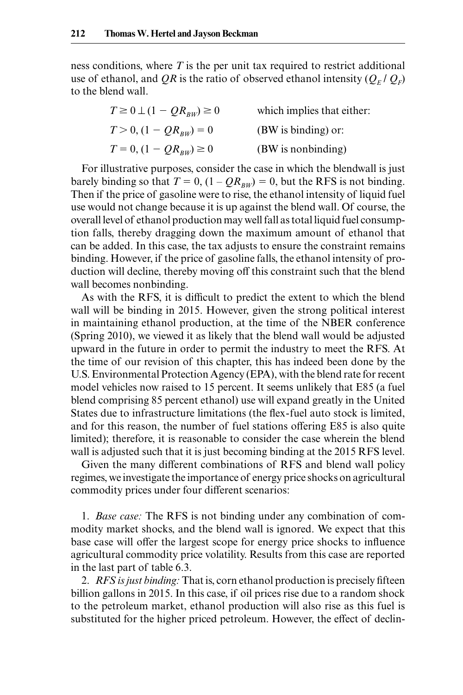ness conditions, where *T* is the per unit tax required to restrict additional use of ethanol, and QR is the ratio of observed ethanol intensity  $(Q_F / Q_F)$ to the blend wall.

| $T \geq 0 \perp (1 - QR_{\scriptscriptstyle RW}) \geq 0$ | which implies that either: |
|----------------------------------------------------------|----------------------------|
| $T > 0$ , $(1 - QR_{BW}) = 0$                            | (BW is binding) or:        |
| $T = 0$ , $(1 - QR_{BW}) \ge 0$                          | (BW is nonbinding)         |

For illustrative purposes, consider the case in which the blendwall is just barely binding so that  $T = 0$ ,  $(1 - QR_{BW}) = 0$ , but the RFS is not binding. Then if the price of gasoline were to rise, the ethanol intensity of liquid fuel use would not change because it is up against the blend wall. Of course, the overall level of ethanol production may well fall as total liquid fuel consumption falls, thereby dragging down the maximum amount of ethanol that can be added. In this case, the tax adjusts to ensure the constraint remains binding. However, if the price of gasoline falls, the ethanol intensity of production will decline, thereby moving off this constraint such that the blend wall becomes nonbinding.

As with the RFS, it is difficult to predict the extent to which the blend wall will be binding in 2015. However, given the strong political interest in maintaining ethanol production, at the time of the NBER conference (Spring 2010), we viewed it as likely that the blend wall would be adjusted upward in the future in order to permit the industry to meet the RFS. At the time of our revision of this chapter, this has indeed been done by the U.S. Environmental Protection Agency (EPA), with the blend rate for recent model vehicles now raised to 15 percent. It seems unlikely that E85 (a fuel blend comprising 85 percent ethanol) use will expand greatly in the United States due to infrastructure limitations (the flex-fuel auto stock is limited, and for this reason, the number of fuel stations offering E85 is also quite limited); therefore, it is reasonable to consider the case wherein the blend wall is adjusted such that it is just becoming binding at the 2015 RFS level.

Given the many different combinations of RFS and blend wall policy regimes, we investigate the importance of energy price shocks on agricultural commodity prices under four different scenarios:

1. *Base case:* The RFS is not binding under any combination of commodity market shocks, and the blend wall is ignored. We expect that this base case will offer the largest scope for energy price shocks to influence agricultural commodity price volatility. Results from this case are reported in the last part of table 6.3.

2. *RFS is just binding:* That is, corn ethanol production is precisely fifteen billion gallons in 2015. In this case, if oil prices rise due to a random shock to the petroleum market, ethanol production will also rise as this fuel is substituted for the higher priced petroleum. However, the effect of declin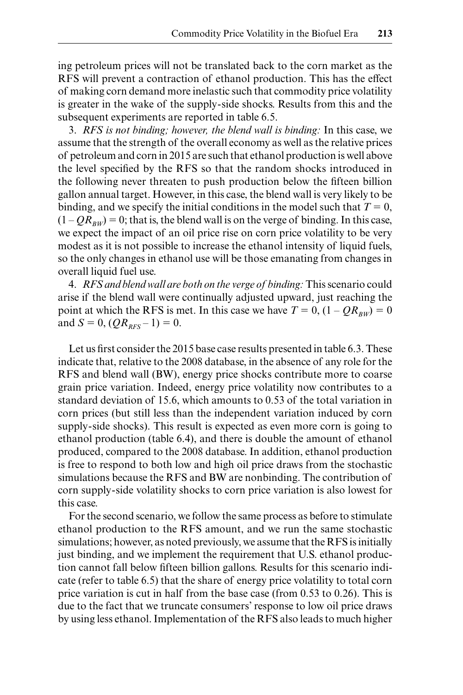ing petroleum prices will not be translated back to the corn market as the RFS will prevent a contraction of ethanol production. This has the effect of making corn demand more inelastic such that commodity price volatility is greater in the wake of the supply- side shocks. Results from this and the subsequent experiments are reported in table 6.5.

3. *RFS is not binding; however, the blend wall is binding:* In this case, we assume that the strength of the overall economy as well as the relative prices of petroleum and corn in 2015 are such that ethanol production is well above the level specified by the RFS so that the random shocks introduced in the following never threaten to push production below the fifteen billion gallon annual target. However, in this case, the blend wall is very likely to be binding, and we specify the initial conditions in the model such that  $T = 0$ ,  $(1 - QR_{BW}) = 0$ ; that is, the blend wall is on the verge of binding. In this case, we expect the impact of an oil price rise on corn price volatility to be very modest as it is not possible to increase the ethanol intensity of liquid fuels, so the only changes in ethanol use will be those emanating from changes in overall liquid fuel use.

4. *RFS and blend wall are both on the verge of binding:* This scenario could arise if the blend wall were continually adjusted upward, just reaching the point at which the RFS is met. In this case we have  $T = 0$ ,  $(1 - QR_{BW}) = 0$ and  $S = 0$ ,  $(QR_{RFS} - 1) = 0$ .

Let us first consider the 2015 base case results presented in table 6.3. These indicate that, relative to the 2008 database, in the absence of any role for the RFS and blend wall (BW), energy price shocks contribute more to coarse grain price variation. Indeed, energy price volatility now contributes to a standard deviation of 15.6, which amounts to 0.53 of the total variation in corn prices (but still less than the independent variation induced by corn supply-side shocks). This result is expected as even more corn is going to ethanol production (table 6.4), and there is double the amount of ethanol produced, compared to the 2008 database. In addition, ethanol production is free to respond to both low and high oil price draws from the stochastic simulations because the RFS and BW are nonbinding. The contribution of corn supply- side volatility shocks to corn price variation is also lowest for this case.

For the second scenario, we follow the same process as before to stimulate ethanol production to the RFS amount, and we run the same stochastic simulations; however, as noted previously, we assume that the RFS is initially just binding, and we implement the requirement that U.S. ethanol production cannot fall below fifteen billion gallons. Results for this scenario indicate (refer to table 6.5) that the share of energy price volatility to total corn price variation is cut in half from the base case (from 0.53 to 0.26). This is due to the fact that we truncate consumers' response to low oil price draws by using less ethanol. Implementation of the RFS also leads to much higher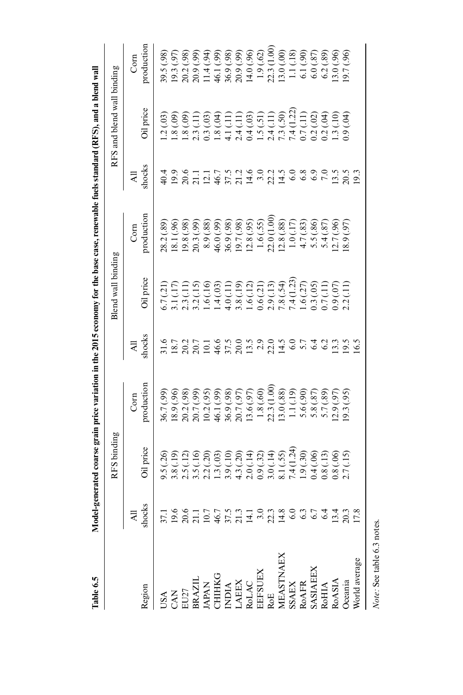| Table 6.5                                                                                                                                                         |                                                                   |                             |                                    |                                                                 |                                                                             | Model-generated coarse grain price variation in the 2015 economy for the base case, renewable fuels standard (RFS), and a blend wall |                                                                                                                                                                                                                                                                                                               |                            |                                                         |
|-------------------------------------------------------------------------------------------------------------------------------------------------------------------|-------------------------------------------------------------------|-----------------------------|------------------------------------|-----------------------------------------------------------------|-----------------------------------------------------------------------------|--------------------------------------------------------------------------------------------------------------------------------------|---------------------------------------------------------------------------------------------------------------------------------------------------------------------------------------------------------------------------------------------------------------------------------------------------------------|----------------------------|---------------------------------------------------------|
|                                                                                                                                                                   |                                                                   | RFS binding                 |                                    |                                                                 | Blend wall binding                                                          |                                                                                                                                      |                                                                                                                                                                                                                                                                                                               | RFS and blend wall binding |                                                         |
|                                                                                                                                                                   | ₹                                                                 |                             | Com                                | ₹                                                               |                                                                             | Com                                                                                                                                  | ₹                                                                                                                                                                                                                                                                                                             |                            | Com                                                     |
| Region                                                                                                                                                            | shocks                                                            | Oil price                   | production                         | shocks                                                          | Oil price                                                                   | production                                                                                                                           | shocks                                                                                                                                                                                                                                                                                                        | <b>Dil</b> price           | production                                              |
|                                                                                                                                                                   |                                                                   | 9.5(26)                     | 36.7 (.99)                         | 31.6                                                            | 5.7(.21)                                                                    | 28.2 (.89)                                                                                                                           | 40.4                                                                                                                                                                                                                                                                                                          | .2(03)                     | 89.5 (.98)                                              |
|                                                                                                                                                                   |                                                                   | 3.8 (.19)                   | 18.9 (.96)                         |                                                                 | (17)                                                                        | (8.1(.96)                                                                                                                            |                                                                                                                                                                                                                                                                                                               | $(60)$ 8.                  | [9.3(.97)                                               |
| USA<br>CAN<br>EU27<br>ENAZIL<br>ERAZIL<br>CHIHKG<br>CHIHKG<br>CHIHKG<br>CHIAC<br>NASTNAEX<br>ROAFR<br>ROAFR<br>ROAFR<br>ROAFR<br>ROAFR<br>SSAEX<br>SSAEX<br>ROAFR | T S S I D G F I T G M N T G G G G F T T M N T G G G G G F T T M N | 2.5(                        | (38)<br>20.2 (<br>20.7 (<br>10.2 ( | $\frac{18.7}{20.2}$<br>20.2 1 0 1 4 5 7 0 0<br>20.2 1 4 5 7 0 0 | Ë<br>$\frac{1}{2}$ .                                                        | 19.8 (.98)                                                                                                                           | $\begin{array}{c} 9.96 \\ 2.07 \\ 1.11 \\ 2.08 \\ 3.09 \\ 4.09 \\ 4.09 \\ 5.09 \\ 5.09 \\ 6.09 \\ 7.09 \\ 7.09 \\ 7.09 \\ 7.09 \\ 7.09 \\ 7.09 \\ 7.09 \\ 7.09 \\ 7.09 \\ 7.09 \\ 7.09 \\ 7.09 \\ 7.09 \\ 7.09 \\ 7.09 \\ 7.09 \\ 7.09 \\ 7.09 \\ 7.09 \\ 7.09 \\ 7.09 \\ 7.09 \\ 7.09 \\ 7.09 \\ 7.09 \\ 7.$ | $(60)$ 8.                  | 20.2 (.98)<br>20.9 (.99)                                |
|                                                                                                                                                                   |                                                                   | $\frac{2}{10}$<br>3.5(      | 39)                                |                                                                 | $\overline{15}$                                                             | 20.3 (.99)                                                                                                                           |                                                                                                                                                                                                                                                                                                               | 2.3(11)                    |                                                         |
|                                                                                                                                                                   |                                                                   | 2.2(.20)                    | (35)                               |                                                                 | (16)<br>3.2(                                                                | 8.9 (.88)                                                                                                                            |                                                                                                                                                                                                                                                                                                               | 0.3(03)                    | $11.4(0.94)$<br>46.1(0.99)                              |
|                                                                                                                                                                   |                                                                   |                             | 46.1 (.99)                         |                                                                 | 1.4(03)                                                                     | 46.0 (.99)                                                                                                                           |                                                                                                                                                                                                                                                                                                               | $-.8(.04)$                 |                                                         |
|                                                                                                                                                                   |                                                                   | $1.3(03)$<br>$3.9(10)$      | 36.9 (.98)                         |                                                                 | 4.0(.11)                                                                    | 36.9 (.98)                                                                                                                           |                                                                                                                                                                                                                                                                                                               | 4.1(.11)                   | 36.9 (.98)<br>20.9 (.99)                                |
|                                                                                                                                                                   |                                                                   | 4.3 (.20)<br>2.0 (.14)      | 20.7 (.97)                         |                                                                 |                                                                             | 19.7(.98)                                                                                                                            |                                                                                                                                                                                                                                                                                                               | 2.4(.11)                   |                                                         |
|                                                                                                                                                                   |                                                                   |                             | .3.6(.97)                          |                                                                 |                                                                             | (2.8(.95)                                                                                                                            |                                                                                                                                                                                                                                                                                                               |                            | 14.0(0.96)                                              |
|                                                                                                                                                                   |                                                                   | 0.9(0.32)                   |                                    | 13.9999740                                                      | $\begin{array}{c} 3.8 \; (.19) \\ 1.6 \; (.12) \\ 0.6 \; (.21) \end{array}$ | 1.6(.55)                                                                                                                             |                                                                                                                                                                                                                                                                                                               | $0.4(0.03)$<br>1.5(.51)    |                                                         |
|                                                                                                                                                                   |                                                                   | 3.0(0.14)                   | $1.8(.60)$<br>$22.3(1.00)$         |                                                                 | 2.9(0.13)                                                                   | 22.0 (1.00                                                                                                                           |                                                                                                                                                                                                                                                                                                               | 2.4(11)                    | $\begin{array}{c} 1.9\,(.62)\\ 22.3\,(1.00)\end{array}$ |
|                                                                                                                                                                   |                                                                   | 8.1(.55)                    | 3.0(0.88)                          |                                                                 |                                                                             | (2.8(.88))                                                                                                                           |                                                                                                                                                                                                                                                                                                               | 7.3(.50)                   | 13.0(00)                                                |
|                                                                                                                                                                   |                                                                   | 7.4 (1.24)<br>1.9 (.30)     | 1.1(19)                            |                                                                 | (1.23)<br>7.8 (.54)<br>7.4 (1.23)                                           | 1.0(.17)                                                                                                                             |                                                                                                                                                                                                                                                                                                               | 7.4 (1.22)                 | 1.1(.18)                                                |
|                                                                                                                                                                   |                                                                   |                             | 5.6 (.90)                          |                                                                 | (27)<br>$\sum$                                                              | 4.7(83)                                                                                                                              |                                                                                                                                                                                                                                                                                                               | 0.7(.11)                   | 6.1(90)                                                 |
|                                                                                                                                                                   |                                                                   | 0.4(06)                     | (35)<br>5.8(                       |                                                                 | (05)                                                                        | 5.5 (.86)                                                                                                                            | 6.9                                                                                                                                                                                                                                                                                                           | 0.2(0.02)                  | (6.0, 87)                                               |
|                                                                                                                                                                   |                                                                   | (13)<br>0.8 <sub>0</sub>    | 5.7(.89)                           |                                                                 | $\Xi$<br>3.3(                                                               | 5.4(.87)                                                                                                                             | 7.0                                                                                                                                                                                                                                                                                                           | 0.2(04)                    | 6.2(.89)                                                |
|                                                                                                                                                                   |                                                                   | $\frac{0.8(.06)}{2.7(.15)}$ | 2.9(.97)                           | 13.3                                                            | (50)<br>0.9                                                                 | 2.7(.96)                                                                                                                             | $13.5$<br>20.5                                                                                                                                                                                                                                                                                                | 1.3(.10)                   | 3.0(.96)                                                |
| <b>Dceania</b>                                                                                                                                                    |                                                                   |                             | (35)<br>9.3(                       | 19.5                                                            | (11)<br>$2.2^{\circ}$                                                       | (56, 8, 8)                                                                                                                           |                                                                                                                                                                                                                                                                                                               | 0.9(04)                    | 9.7(.96)                                                |
| Norld average                                                                                                                                                     |                                                                   |                             |                                    | 6.3                                                             |                                                                             |                                                                                                                                      | 19.3                                                                                                                                                                                                                                                                                                          |                            |                                                         |
|                                                                                                                                                                   |                                                                   |                             |                                    |                                                                 |                                                                             |                                                                                                                                      |                                                                                                                                                                                                                                                                                                               |                            |                                                         |

Note: See table 6.3 notes. *Note:* See table 6.3 notes.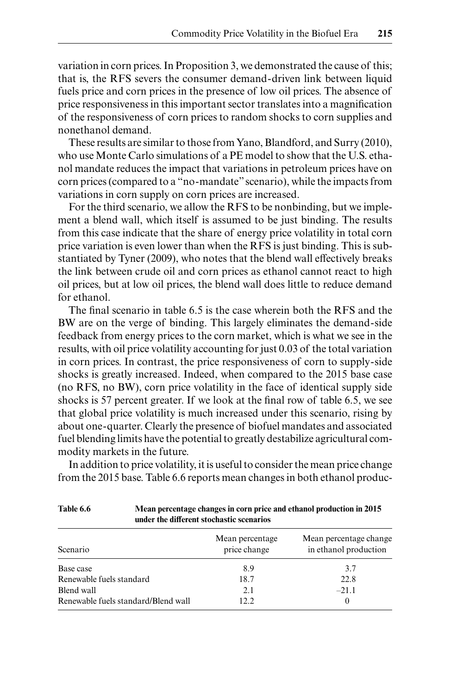variation in corn prices. In Proposition 3, we demonstrated the cause of this; that is, the RFS severs the consumer demand- driven link between liquid fuels price and corn prices in the presence of low oil prices. The absence of price responsiveness in this important sector translates into a magnification of the responsiveness of corn prices to random shocks to corn supplies and nonethanol demand.

These results are similar to those from Yano, Blandford, and Surry (2010), who use Monte Carlo simulations of a PE model to show that the U.S. ethanol mandate reduces the impact that variations in petroleum prices have on corn prices (compared to a "no- mandate" scenario), while the impacts from variations in corn supply on corn prices are increased.

For the third scenario, we allow the RFS to be nonbinding, but we implement a blend wall, which itself is assumed to be just binding. The results from this case indicate that the share of energy price volatility in total corn price variation is even lower than when the RFS is just binding. This is substantiated by Tyner (2009), who notes that the blend wall effectively breaks the link between crude oil and corn prices as ethanol cannot react to high oil prices, but at low oil prices, the blend wall does little to reduce demand for ethanol.

The final scenario in table 6.5 is the case wherein both the RFS and the BW are on the verge of binding. This largely eliminates the demand- side feedback from energy prices to the corn market, which is what we see in the results, with oil price volatility accounting for just 0.03 of the total variation in corn prices. In contrast, the price responsiveness of corn to supply- side shocks is greatly increased. Indeed, when compared to the 2015 base case (no RFS, no BW), corn price volatility in the face of identical supply side shocks is 57 percent greater. If we look at the final row of table 6.5, we see that global price volatility is much increased under this scenario, rising by about one- quarter. Clearly the presence of biofuel mandates and associated fuel blending limits have the potential to greatly destabilize agricultural commodity markets in the future.

In addition to price volatility, it is useful to consider the mean price change

| Table 6.6                           | under the different stochastic scenarios | Mean percentage changes in corn price and ethanol production in 2015 |
|-------------------------------------|------------------------------------------|----------------------------------------------------------------------|
| Scenario                            | Mean percentage<br>price change          | Mean percentage change<br>in ethanol production                      |
| Base case                           | 8.9                                      | 3.7                                                                  |
| Renewable fuels standard            | 18.7                                     | 22.8                                                                 |
| Blend wall                          | 2.1                                      | $-21.1$                                                              |
| Renewable fuels standard/Blend wall | 12.2                                     | $\theta$                                                             |

from the 2015 base. Table 6.6 reports mean changes in both ethanol produc-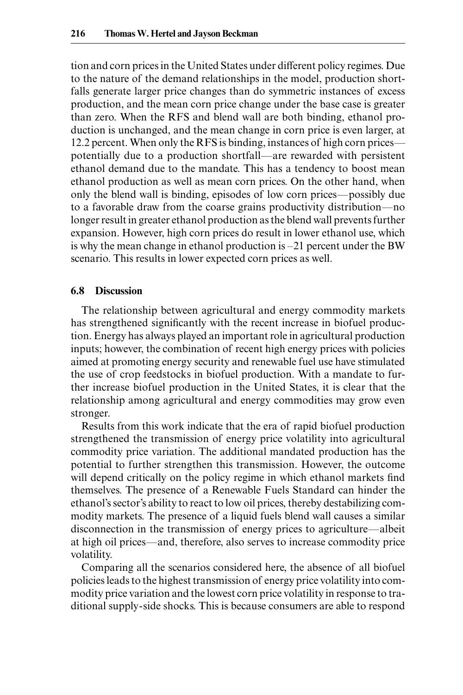tion and corn prices in the United States under different policy regimes. Due to the nature of the demand relationships in the model, production shortfalls generate larger price changes than do symmetric instances of excess production, and the mean corn price change under the base case is greater than zero. When the RFS and blend wall are both binding, ethanol production is unchanged, and the mean change in corn price is even larger, at 12.2 percent. When only the RFS is binding, instances of high corn prices potentially due to a production shortfall—are rewarded with persistent ethanol demand due to the mandate. This has a tendency to boost mean ethanol production as well as mean corn prices. On the other hand, when only the blend wall is binding, episodes of low corn prices—possibly due to a favorable draw from the coarse grains productivity distribution—no longer result in greater ethanol production as the blend wall prevents further expansion. However, high corn prices do result in lower ethanol use, which is why the mean change in ethanol production is  $-21$  percent under the BW scenario. This results in lower expected corn prices as well.

#### **6.8 Discussion**

The relationship between agricultural and energy commodity markets has strengthened significantly with the recent increase in biofuel production. Energy has always played an important role in agricultural production inputs; however, the combination of recent high energy prices with policies aimed at promoting energy security and renewable fuel use have stimulated the use of crop feedstocks in biofuel production. With a mandate to further increase biofuel production in the United States, it is clear that the relationship among agricultural and energy commodities may grow even stronger.

Results from this work indicate that the era of rapid biofuel production strengthened the transmission of energy price volatility into agricultural commodity price variation. The additional mandated production has the potential to further strengthen this transmission. However, the outcome will depend critically on the policy regime in which ethanol markets find themselves. The presence of a Renewable Fuels Standard can hinder the ethanol's sector's ability to react to low oil prices, thereby destabilizing commodity markets. The presence of a liquid fuels blend wall causes a similar disconnection in the transmission of energy prices to agriculture—albeit at high oil prices—and, therefore, also serves to increase commodity price volatility.

Comparing all the scenarios considered here, the absence of all biofuel policies leads to the highest transmission of energy price volatility into commodity price variation and the lowest corn price volatility in response to traditional supply- side shocks. This is because consumers are able to respond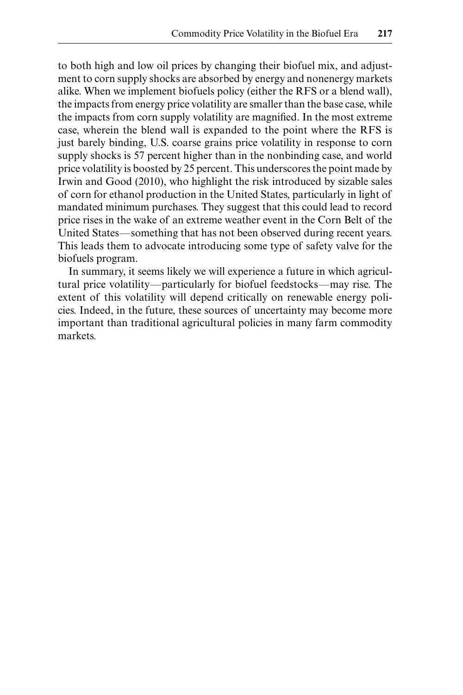to both high and low oil prices by changing their biofuel mix, and adjustment to corn supply shocks are absorbed by energy and nonenergy markets alike. When we implement biofuels policy (either the RFS or a blend wall), the impacts from energy price volatility are smaller than the base case, while the impacts from corn supply volatility are magnified. In the most extreme case, wherein the blend wall is expanded to the point where the RFS is just barely binding, U.S. coarse grains price volatility in response to corn supply shocks is 57 percent higher than in the nonbinding case, and world price volatility is boosted by 25 percent. This underscores the point made by Irwin and Good (2010), who highlight the risk introduced by sizable sales of corn for ethanol production in the United States, particularly in light of mandated minimum purchases. They suggest that this could lead to record price rises in the wake of an extreme weather event in the Corn Belt of the United States—something that has not been observed during recent years. This leads them to advocate introducing some type of safety valve for the biofuels program.

In summary, it seems likely we will experience a future in which agricultural price volatility—particularly for biofuel feedstocks—may rise. The extent of this volatility will depend critically on renewable energy policies. Indeed, in the future, these sources of uncertainty may become more important than traditional agricultural policies in many farm commodity markets.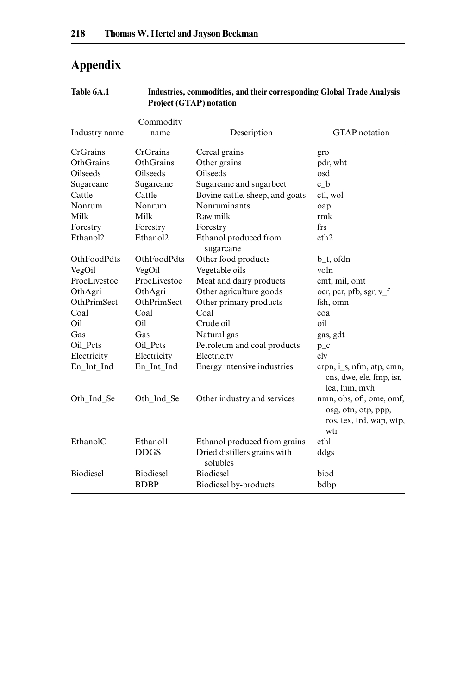# **Appendix**

| Table 6A.1 | Industries, commodities, and their corresponding Global Trade Analysis |
|------------|------------------------------------------------------------------------|
|            | <b>Project (GTAP) notation</b>                                         |

| Industry name        | Commodity<br>name    | Description                              | <b>GTAP</b> notation                                                               |
|----------------------|----------------------|------------------------------------------|------------------------------------------------------------------------------------|
| CrGrains             | CrGrains             | Cereal grains                            | gro                                                                                |
| OthGrains            | OthGrains            | Other grains                             | pdr, wht                                                                           |
| Oilseeds             | Oilseeds             | <b>Oilseeds</b>                          | osd                                                                                |
| Sugarcane            | Sugarcane            | Sugarcane and sugarbeet                  | c b                                                                                |
| Cattle               | Cattle               | Bovine cattle, sheep, and goats          | ctl. wol                                                                           |
| Nonrum               | Nonrum               | Nonruminants                             | oap                                                                                |
| Milk                 | Milk                 | Raw milk                                 | rmk                                                                                |
| Forestry             | Forestry             | Forestry                                 | frs                                                                                |
| Ethanol <sub>2</sub> | Ethanol <sub>2</sub> | Ethanol produced from<br>sugarcane       | eth2                                                                               |
| <b>OthFoodPdts</b>   | <b>OthFoodPdts</b>   | Other food products                      | $b_t$ , ofdn                                                                       |
| VegOil               | VegOil               | Vegetable oils                           | voln                                                                               |
| ProcLivestoc         | ProcLivestoc         | Meat and dairy products                  | cmt, mil, omt                                                                      |
| OthAgri              | OthAgri              | Other agriculture goods                  | ocr, pcr, pfb, sgr, v_f                                                            |
| OthPrimSect          | OthPrimSect          | Other primary products                   | fsh, omn                                                                           |
| Coal                 | Coal                 | Coal                                     | coa                                                                                |
| Oil                  | Oil                  | Crude oil                                | oil                                                                                |
| Gas                  | Gas                  | Natural gas                              | gas, gdt                                                                           |
| Oil_Pcts             | Oil Pcts             | Petroleum and coal products              | $p_c$                                                                              |
| Electricity          | Electricity          | Electricity                              | ely                                                                                |
| En Int Ind           | En_Int_Ind           | Energy intensive industries              | $crpn, i_s, nfm, atp, cmn,$<br>cns, dwe, ele, fmp, isr,<br>lea, lum, mvh           |
| Oth Ind Se           | Oth Ind Se           | Other industry and services              | nmn, obs, ofi, ome, omf,<br>osg, otn, otp, ppp,<br>ros, tex, trd, wap, wtp,<br>wtr |
| EthanolC             | Ethanol1             | Ethanol produced from grains             | ethl                                                                               |
|                      | <b>DDGS</b>          | Dried distillers grains with<br>solubles | ddgs                                                                               |
| <b>Biodiesel</b>     | Biodiesel            | <b>Biodiesel</b>                         | biod                                                                               |
|                      | <b>BDBP</b>          | Biodiesel by-products                    | bdbp                                                                               |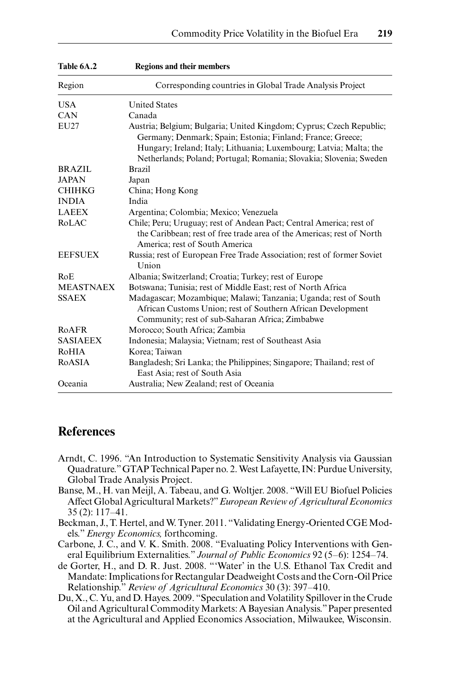| Table 6A.2       | <b>Regions and their members</b>                                                                                                                                                                                                                                              |
|------------------|-------------------------------------------------------------------------------------------------------------------------------------------------------------------------------------------------------------------------------------------------------------------------------|
| Region           | Corresponding countries in Global Trade Analysis Project                                                                                                                                                                                                                      |
| <b>USA</b>       | <b>United States</b>                                                                                                                                                                                                                                                          |
| CAN              | Canada                                                                                                                                                                                                                                                                        |
| EU27             | Austria; Belgium; Bulgaria; United Kingdom; Cyprus; Czech Republic;<br>Germany; Denmark; Spain; Estonia; Finland; France; Greece;<br>Hungary; Ireland; Italy; Lithuania; Luxembourg; Latvia; Malta; the<br>Netherlands; Poland; Portugal; Romania; Slovakia; Slovenia; Sweden |
| <b>BRAZIL</b>    | <b>Brazil</b>                                                                                                                                                                                                                                                                 |
| <b>JAPAN</b>     | Japan                                                                                                                                                                                                                                                                         |
| <b>CHIHKG</b>    | China; Hong Kong                                                                                                                                                                                                                                                              |
| <b>INDIA</b>     | India                                                                                                                                                                                                                                                                         |
| <b>LAEEX</b>     | Argentina; Colombia; Mexico; Venezuela                                                                                                                                                                                                                                        |
| RoLAC            | Chile; Peru; Uruguay; rest of Andean Pact; Central America; rest of<br>the Caribbean; rest of free trade area of the Americas; rest of North<br>America; rest of South America                                                                                                |
| <b>EEFSUEX</b>   | Russia; rest of European Free Trade Association; rest of former Soviet<br>Union                                                                                                                                                                                               |
| RoE              | Albania; Switzerland; Croatia; Turkey; rest of Europe                                                                                                                                                                                                                         |
| <b>MEASTNAEX</b> | Botswana; Tunisia; rest of Middle East; rest of North Africa                                                                                                                                                                                                                  |
| <b>SSAEX</b>     | Madagascar; Mozambique; Malawi; Tanzania; Uganda; rest of South<br>African Customs Union; rest of Southern African Development<br>Community; rest of sub-Saharan Africa; Zimbabwe                                                                                             |
| <b>RoAFR</b>     | Morocco; South Africa; Zambia                                                                                                                                                                                                                                                 |
| <b>SASIAEEX</b>  | Indonesia; Malaysia; Vietnam; rest of Southeast Asia                                                                                                                                                                                                                          |
| RoHIA            | Korea: Taiwan                                                                                                                                                                                                                                                                 |
| RoASIA           | Bangladesh; Sri Lanka; the Philippines; Singapore; Thailand; rest of<br>East Asia; rest of South Asia                                                                                                                                                                         |
| Oceania          | Australia; New Zealand; rest of Oceania                                                                                                                                                                                                                                       |

# **References**

- Arndt, C. 1996. "An Introduction to Systematic Sensitivity Analysis via Gaussian Quadrature." GTAP Technical Paper no. 2. West Lafayette, IN: Purdue University, Global Trade Analysis Project.
- Banse, M., H. van Meijl, A. Tabeau, and G. Woltjer. 2008. "Will EU Biofuel Policies Affect Global Agricultural Markets?" *European Review of Agricultural Economics*  $35(2): 117-41.$
- Beckman, J., T. Hertel, and W. Tyner. 2011. "Validating Energy- Oriented CGE Models." *Energy Economics,* forthcoming.
- Carbone, J. C., and V. K. Smith. 2008. "Evaluating Policy Interventions with General Equilibrium Externalities." Journal of Public Economics 92 (5-6): 1254-74.
- de Gorter, H., and D. R. Just. 2008. "'Water' in the U.S. Ethanol Tax Credit and Mandate: Implications for Rectangular Deadweight Costs and the Corn- Oil Price Relationship." *Review of Agricultural Economics* 30 (3): 397– 410.
- Du, X., C. Yu, and D. Hayes. 2009. "Speculation and Volatility Spillover in the Crude Oil and Agricultural Commodity Markets: A Bayesian Analysis." Paper presented at the Agricultural and Applied Economics Association, Milwaukee, Wisconsin.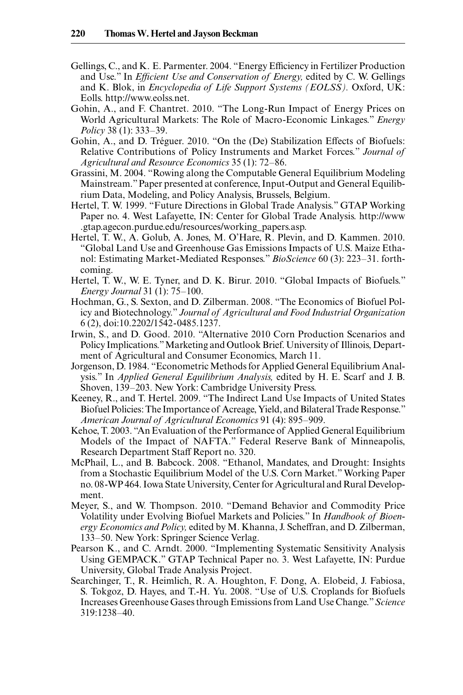- Gellings, C., and K. E. Parmenter. 2004. "Energy Efficiency in Fertilizer Production and Use." In *Efficient Use and Conservation of Energy,* edited by C. W. Gellings and K. Blok, in *Encyclopedia of Life Support Systems (EOLSS).* Oxford, UK: Eolls. http://www.eolss.net.
- Gohin, A., and F. Chantret. 2010. "The Long- Run Impact of Energy Prices on World Agricultural Markets: The Role of Macro- Economic Linkages." *Energy Policy* 38 (1): 333–39.
- Gohin, A., and D. Tréguer. 2010. "On the (De) Stabilization Effects of Biofuels: Relative Contributions of Policy Instruments and Market Forces." *Journal of Agricultural and Resource Economics* 35 (1): 72– 86.
- Grassini, M. 2004. "Rowing along the Computable General Equilibrium Modeling Mainstream." Paper presented at conference, Input- Output and General Equilibrium Data, Modeling, and Policy Analysis, Brussels, Belgium.
- Hertel, T. W. 1999. "Future Directions in Global Trade Analysis." GTAP Working Paper no. 4. West Lafayette, IN: Center for Global Trade Analysis. http://www .gtap.agecon.purdue.edu/ resources/ working\_papers.asp.
- Hertel, T. W., A. Golub, A. Jones, M. O'Hare, R. Plevin, and D. Kammen. 2010. "Global Land Use and Greenhouse Gas Emissions Impacts of U.S. Maize Ethanol: Estimating Market- Mediated Responses." *BioScience* 60 (3): 223– 31. forthcoming.
- Hertel, T. W., W. E. Tyner, and D. K. Birur. 2010. "Global Impacts of Biofuels." *Energy Journal* 31 (1): 75–100.
- Hochman, G., S. Sexton, and D. Zilberman. 2008. "The Economics of Biofuel Policy and Biotechnology." *Journal of Agricultural and Food Industrial Organization* 6 (2), doi:10.2202/ 1542- 0485.1237.
- Irwin, S., and D. Good. 2010. "Alternative 2010 Corn Production Scenarios and Policy Implications." Marketing and Outlook Brief. University of Illinois, Department of Agricultural and Consumer Economics, March 11.
- Jorgenson, D. 1984. "Econometric Methods for Applied General Equilibrium Analysis." In *Applied General Equilibrium Analysis,* edited by H. E. Scarf and J. B. Shoven, 139–203. New York: Cambridge University Press.
- Keeney, R., and T. Hertel. 2009. "The Indirect Land Use Impacts of United States Biofuel Policies: The Importance of Acreage, Yield, and Bilateral Trade Response." *American Journal of Agricultural Economics* 91 (4): 895– 909.
- Kehoe, T. 2003. "An Evaluation of the Performance of Applied General Equilibrium Models of the Impact of NAFTA." Federal Reserve Bank of Minneapolis, Research Department Staff Report no. 320.
- McPhail, L., and B. Babcock. 2008. "Ethanol, Mandates, and Drought: Insights from a Stochastic Equilibrium Model of the U.S. Corn Market." Working Paper no. 08- WP 464. Iowa State University, Center for Agricultural and Rural Development.
- Meyer, S., and W. Thompson. 2010. "Demand Behavior and Commodity Price Volatility under Evolving Biofuel Markets and Policies." In *Handbook of Bioenergy Economics and Policy,* edited by M. Khanna, J. Scheffran, and D. Zilberman, 133–50. New York: Springer Science Verlag.
- Pearson K., and C. Arndt. 2000. "Implementing Systematic Sensitivity Analysis Using GEMPACK." GTAP Technical Paper no. 3. West Lafayette, IN: Purdue University, Global Trade Analysis Project.
- Searchinger, T., R. Heimlich, R. A. Houghton, F. Dong, A. Elobeid, J. Fabiosa, S. Tokgoz, D. Hayes, and T.-H. Yu. 2008. "Use of U.S. Croplands for Biofuels Increases Greenhouse Gases through Emissions from Land Use Change." *Science* 319:1238– 40.